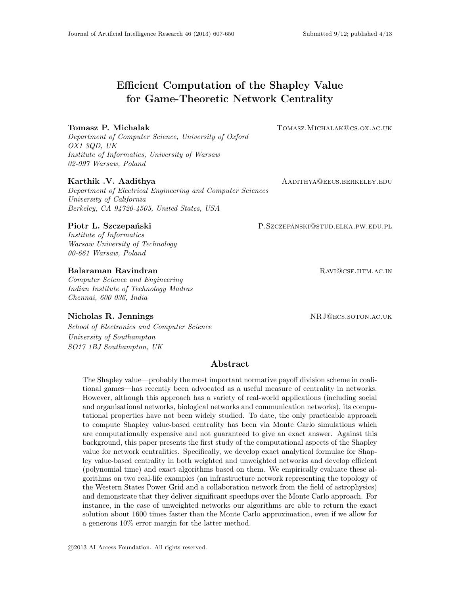# Efficient Computation of the Shapley Value for Game-Theoretic Network Centrality

## Tomasz P. Michalak Tomasz.Michalak Tomasz.Michalak@cs.ox.ac.uk

Department of Computer Science, University of Oxford OX1 3QD, UK Institute of Informatics, University of Warsaw 02-097 Warsaw, Poland

Department of Electrical Engineering and Computer Sciences University of California Berkeley, CA 94720-4505, United States, USA

#### Piotr L. Szczepański **P.Szczepanski** P.Szczepanski@stud.elka.pw.edu.pl

Institute of Informatics Warsaw University of Technology 00-661 Warsaw, Poland

## Balaraman Ravindran **Ravingram Ravingram Ravingram Ravingram Ravingram Ravingram Ravingram Ravingram Ravingram R**

Computer Science and Engineering Indian Institute of Technology Madras Chennai, 600 036, India

## Nicholas R. Jennings and the set of the set of the NRJ@ecs.soton.ac.uk

School of Electronics and Computer Science University of Southampton SO17 1BJ Southampton, UK

## Abstract

The Shapley value—probably the most important normative payoff division scheme in coalitional games—has recently been advocated as a useful measure of centrality in networks. However, although this approach has a variety of real-world applications (including social and organisational networks, biological networks and communication networks), its computational properties have not been widely studied. To date, the only practicable approach to compute Shapley value-based centrality has been via Monte Carlo simulations which are computationally expensive and not guaranteed to give an exact answer. Against this background, this paper presents the first study of the computational aspects of the Shapley value for network centralities. Specifically, we develop exact analytical formulae for Shapley value-based centrality in both weighted and unweighted networks and develop efficient (polynomial time) and exact algorithms based on them. We empirically evaluate these algorithms on two real-life examples (an infrastructure network representing the topology of the Western States Power Grid and a collaboration network from the field of astrophysics) and demonstrate that they deliver significant speedups over the Monte Carlo approach. For instance, in the case of unweighted networks our algorithms are able to return the exact solution about 1600 times faster than the Monte Carlo approximation, even if we allow for a generous 10% error margin for the latter method.

Karthik .V. Aadithya AADITHYA QEECS.BERKELEY.EDU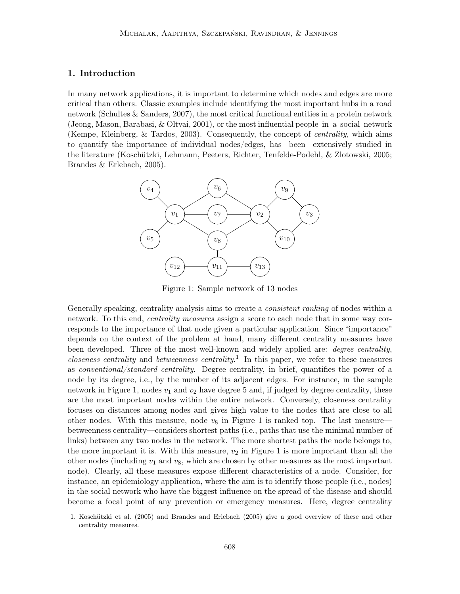## 1. Introduction

In many network applications, it is important to determine which nodes and edges are more critical than others. Classic examples include identifying the most important hubs in a road network (Schultes & Sanders, 2007), the most critical functional entities in a protein network (Jeong, Mason, Barabasi, & Oltvai, 2001), or the most influential people in a social network (Kempe, Kleinberg, & Tardos, 2003). Consequently, the concept of centrality, which aims to quantify the importance of individual nodes/edges, has been extensively studied in the literature (Koschützki, Lehmann, Peeters, Richter, Tenfelde-Podehl, & Zlotowski, 2005; Brandes & Erlebach, 2005).



Figure 1: Sample network of 13 nodes

Generally speaking, centrality analysis aims to create a *consistent ranking* of nodes within a network. To this end, *centrality measures* assign a score to each node that in some way corresponds to the importance of that node given a particular application. Since "importance" depends on the context of the problem at hand, many different centrality measures have been developed. Three of the most well-known and widely applied are: *degree centrality*, *closeness centrality* and *betweenness centrality*.<sup>1</sup> In this paper, we refer to these measures as conventional/standard centrality. Degree centrality, in brief, quantifies the power of a node by its degree, i.e., by the number of its adjacent edges. For instance, in the sample network in Figure 1, nodes  $v_1$  and  $v_2$  have degree 5 and, if judged by degree centrality, these are the most important nodes within the entire network. Conversely, closeness centrality focuses on distances among nodes and gives high value to the nodes that are close to all other nodes. With this measure, node  $v_8$  in Figure 1 is ranked top. The last measure betweenness centrality—considers shortest paths (i.e., paths that use the minimal number of links) between any two nodes in the network. The more shortest paths the node belongs to, the more important it is. With this measure,  $v_2$  in Figure 1 is more important than all the other nodes (including  $v_1$  and  $v_8$ , which are chosen by other measures as the most important node). Clearly, all these measures expose different characteristics of a node. Consider, for instance, an epidemiology application, where the aim is to identify those people (i.e., nodes) in the social network who have the biggest influence on the spread of the disease and should become a focal point of any prevention or emergency measures. Here, degree centrality

<sup>1.</sup> Koschützki et al. (2005) and Brandes and Erlebach (2005) give a good overview of these and other centrality measures.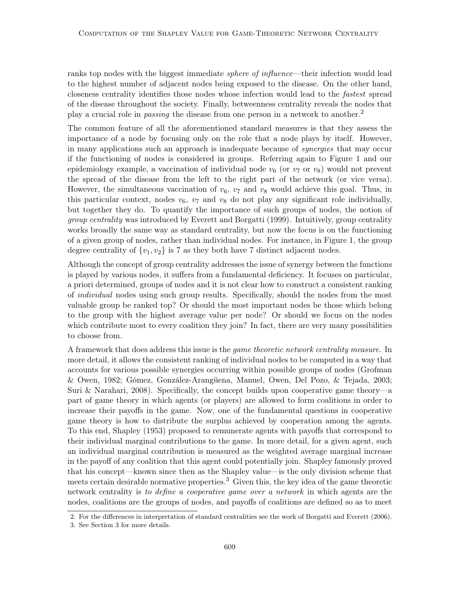ranks top nodes with the biggest immediate *sphere of influence*—their infection would lead to the highest number of adjacent nodes being exposed to the disease. On the other hand, closeness centrality identifies those nodes whose infection would lead to the fastest spread of the disease throughout the society. Finally, betweenness centrality reveals the nodes that play a crucial role in passing the disease from one person in a network to another.<sup>2</sup>

The common feature of all the aforementioned standard measures is that they assess the importance of a node by focusing only on the role that a node plays by itself. However, in many applications such an approach is inadequate because of synergies that may occur if the functioning of nodes is considered in groups. Referring again to Figure 1 and our epidemiology example, a vaccination of individual node  $v_6$  (or  $v_7$  or  $v_8$ ) would not prevent the spread of the disease from the left to the right part of the network (or vice versa). However, the simultaneous vaccination of  $v_6$ ,  $v_7$  and  $v_8$  would achieve this goal. Thus, in this particular context, nodes  $v_6$ ,  $v_7$  and  $v_8$  do not play any significant role individually, but together they do. To quantify the importance of such groups of nodes, the notion of group centrality was introduced by Everett and Borgatti (1999). Intuitively, group centrality works broadly the same way as standard centrality, but now the focus is on the functioning of a given group of nodes, rather than individual nodes. For instance, in Figure 1, the group degree centrality of  $\{v_1, v_2\}$  is 7 as they both have 7 distinct adjacent nodes.

Although the concept of group centrality addresses the issue of synergy between the functions is played by various nodes, it suffers from a fundamental deficiency. It focuses on particular, a priori determined, groups of nodes and it is not clear how to construct a consistent ranking of individual nodes using such group results. Specifically, should the nodes from the most valuable group be ranked top? Or should the most important nodes be those which belong to the group with the highest average value per node? Or should we focus on the nodes which contribute most to every coalition they join? In fact, there are very many possibilities to choose from.

A framework that does address this issue is the *game theoretic network centrality measure*. In more detail, it allows the consistent ranking of individual nodes to be computed in a way that accounts for various possible synergies occurring within possible groups of nodes (Grofman & Owen, 1982; Gómez, González-Arangüena, Manuel, Owen, Del Pozo, & Tejada, 2003; Suri & Narahari, 2008). Specifically, the concept builds upon cooperative game theory—a part of game theory in which agents (or players) are allowed to form coalitions in order to increase their payoffs in the game. Now, one of the fundamental questions in cooperative game theory is how to distribute the surplus achieved by cooperation among the agents. To this end, Shapley (1953) proposed to remunerate agents with payoffs that correspond to their individual marginal contributions to the game. In more detail, for a given agent, such an individual marginal contribution is measured as the weighted average marginal increase in the payoff of any coalition that this agent could potentially join. Shapley famously proved that his concept—known since then as the Shapley value—is the only division scheme that meets certain desirable normative properties.<sup>3</sup> Given this, the key idea of the game theoretic network centrality is to define a cooperative game over a network in which agents are the nodes, coalitions are the groups of nodes, and payoffs of coalitions are defined so as to meet

<sup>2.</sup> For the differences in interpretation of standard centralities see the work of Borgatti and Everett (2006).

<sup>3.</sup> See Section 3 for more details.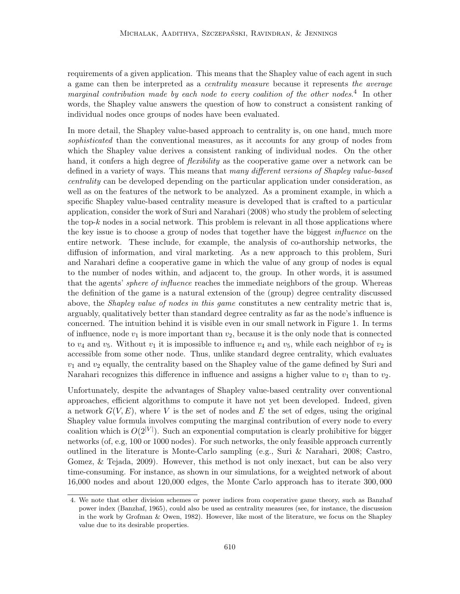requirements of a given application. This means that the Shapley value of each agent in such a game can then be interpreted as a centrality measure because it represents the average marginal contribution made by each node to every coalition of the other nodes.<sup>4</sup> In other words, the Shapley value answers the question of how to construct a consistent ranking of individual nodes once groups of nodes have been evaluated.

In more detail, the Shapley value-based approach to centrality is, on one hand, much more sophisticated than the conventional measures, as it accounts for any group of nodes from which the Shapley value derives a consistent ranking of individual nodes. On the other hand, it confers a high degree of *flexibility* as the cooperative game over a network can be defined in a variety of ways. This means that many different versions of Shapley value-based centrality can be developed depending on the particular application under consideration, as well as on the features of the network to be analyzed. As a prominent example, in which a specific Shapley value-based centrality measure is developed that is crafted to a particular application, consider the work of Suri and Narahari (2008) who study the problem of selecting the top-k nodes in a social network. This problem is relevant in all those applications where the key issue is to choose a group of nodes that together have the biggest influence on the entire network. These include, for example, the analysis of co-authorship networks, the diffusion of information, and viral marketing. As a new approach to this problem, Suri and Narahari define a cooperative game in which the value of any group of nodes is equal to the number of nodes within, and adjacent to, the group. In other words, it is assumed that the agents' *sphere of influence* reaches the immediate neighbors of the group. Whereas the definition of the game is a natural extension of the (group) degree centrality discussed above, the *Shapley value of nodes in this game* constitutes a new centrality metric that is, arguably, qualitatively better than standard degree centrality as far as the node's influence is concerned. The intuition behind it is visible even in our small network in Figure 1. In terms of influence, node  $v_1$  is more important than  $v_2$ , because it is the only node that is connected to  $v_4$  and  $v_5$ . Without  $v_1$  it is impossible to influence  $v_4$  and  $v_5$ , while each neighbor of  $v_2$  is accessible from some other node. Thus, unlike standard degree centrality, which evaluates  $v_1$  and  $v_2$  equally, the centrality based on the Shapley value of the game defined by Suri and Narahari recognizes this difference in influence and assigns a higher value to  $v_1$  than to  $v_2$ .

Unfortunately, despite the advantages of Shapley value-based centrality over conventional approaches, efficient algorithms to compute it have not yet been developed. Indeed, given a network  $G(V, E)$ , where V is the set of nodes and E the set of edges, using the original Shapley value formula involves computing the marginal contribution of every node to every coalition which is  $O(2^{|V|})$ . Such an exponential computation is clearly prohibitive for bigger networks (of, e.g, 100 or 1000 nodes). For such networks, the only feasible approach currently outlined in the literature is Monte-Carlo sampling (e.g., Suri & Narahari, 2008; Castro, Gomez, & Tejada, 2009). However, this method is not only inexact, but can be also very time-consuming. For instance, as shown in our simulations, for a weighted network of about 16,000 nodes and about 120,000 edges, the Monte Carlo approach has to iterate 300, 000

<sup>4.</sup> We note that other division schemes or power indices from cooperative game theory, such as Banzhaf power index (Banzhaf, 1965), could also be used as centrality measures (see, for instance, the discussion in the work by Grofman & Owen, 1982). However, like most of the literature, we focus on the Shapley value due to its desirable properties.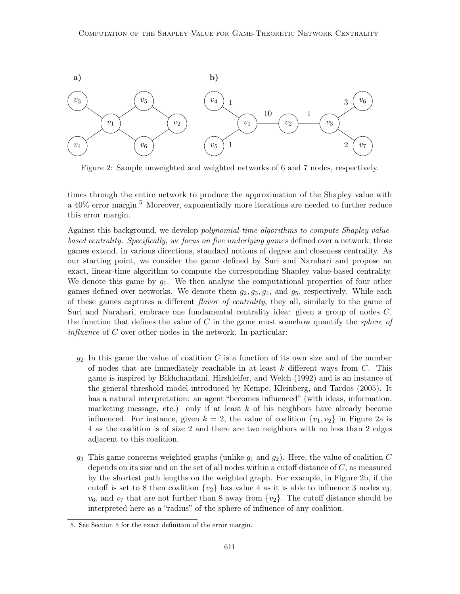

Figure 2: Sample unweighted and weighted networks of 6 and 7 nodes, respectively.

times through the entire network to produce the approximation of the Shapley value with a 40% error margin.<sup>5</sup> Moreover, exponentially more iterations are needed to further reduce this error margin.

Against this background, we develop polynomial-time algorithms to compute Shapley valuebased centrality. Specifically, we focus on five underlying games defined over a network; those games extend, in various directions, standard notions of degree and closeness centrality. As our starting point, we consider the game defined by Suri and Narahari and propose an exact, linear-time algorithm to compute the corresponding Shapley value-based centrality. We denote this game by  $g_1$ . We then analyse the computational properties of four other games defined over networks. We denote them  $g_2, g_3, g_4$ , and  $g_5$ , respectively. While each of these games captures a different flavor of centrality, they all, similarly to the game of Suri and Narahari, embrace one fundamental centrality idea: given a group of nodes C, the function that defines the value of C in the game must somehow quantify the *sphere of influence* of  $C$  over other nodes in the network. In particular:

- $g_2$  In this game the value of coalition C is a function of its own size and of the number of nodes that are immediately reachable in at least  $k$  different ways from  $C$ . This game is inspired by Bikhchandani, Hirshleifer, and Welch (1992) and is an instance of the general threshold model introduced by Kempe, Kleinberg, and Tardos (2005). It has a natural interpretation: an agent "becomes influenced" (with ideas, information, marketing message, etc.) only if at least  $k$  of his neighbors have already become influenced. For instance, given  $k = 2$ , the value of coalition  $\{v_1, v_2\}$  in Figure 2a is 4 as the coalition is of size 2 and there are two neighbors with no less than 2 edges adjacent to this coalition.
- $g_3$  This game concerns weighted graphs (unlike  $g_1$  and  $g_2$ ). Here, the value of coalition C depends on its size and on the set of all nodes within a cutoff distance of C, as measured by the shortest path lengths on the weighted graph. For example, in Figure 2b, if the cutoff is set to 8 then coalition  $\{v_2\}$  has value 4 as it is able to influence 3 nodes  $v_3$ ,  $v_6$ , and  $v_7$  that are not further than 8 away from  $\{v_2\}$ . The cutoff distance should be interpreted here as a "radius" of the sphere of influence of any coalition.

<sup>5.</sup> See Section 5 for the exact definition of the error margin.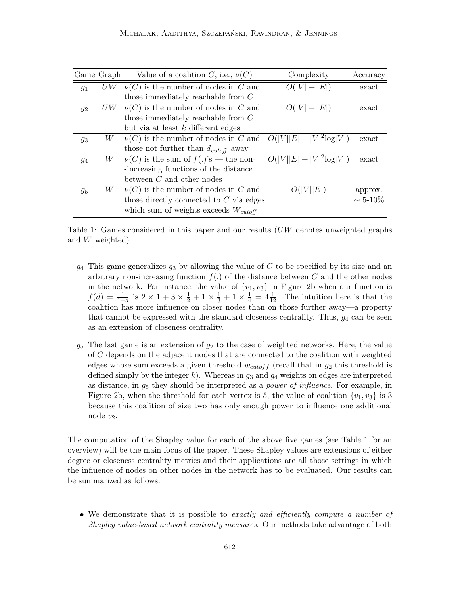|       | Game Graph | Value of a coalition C, i.e., $\nu(C)$      | Complexity                   | Accuracy        |
|-------|------------|---------------------------------------------|------------------------------|-----------------|
| $g_1$ | U W        | $\nu(C)$ is the number of nodes in C and    | $O( V  +  E )$               | exact           |
|       |            | those immediately reachable from $C$        |                              |                 |
| $g_2$ | UW         | $\nu(C)$ is the number of nodes in C and    | $O( V  +  E )$               | exact           |
|       |            | those immediately reachable from $C$ ,      |                              |                 |
|       |            | but via at least $k$ different edges        |                              |                 |
| $g_3$ | W          | $\nu(C)$ is the number of nodes in C and    | $O( V  E  +  V ^2 \log V )$  | exact           |
|       |            | those not further than $d_{cutoff}$ away    |                              |                 |
| 94    | W          | $\nu(C)$ is the sum of $f(.)$ 's — the non- | $O( V  E  +  V ^2 \log  V )$ | exact           |
|       |            | -increasing functions of the distance       |                              |                 |
|       |            | between $C$ and other nodes                 |                              |                 |
| $g_5$ | W          | $\nu(C)$ is the number of nodes in C and    | E                            | approx.         |
|       |            | those directly connected to $C$ via edges   |                              | $\sim 5 - 10\%$ |
|       |            | which sum of weights exceeds $W_{cutoff}$   |                              |                 |

Table 1: Games considered in this paper and our results  $(UW)$  denotes unweighted graphs and W weighted).

- $g_4$  This game generalizes  $g_3$  by allowing the value of C to be specified by its size and an arbitrary non-increasing function  $f(.)$  of the distance between  $C$  and the other nodes in the network. For instance, the value of  $\{v_1, v_3\}$  in Figure 2b when our function is  $f(d) = \frac{1}{1+d}$  is  $2 \times 1 + 3 \times \frac{1}{2} + 1 \times \frac{1}{3} + 1 \times \frac{1}{4} = 4\frac{1}{12}$ . The intuition here is that the coalition has more influence on closer nodes than on those further away—a property that cannot be expressed with the standard closeness centrality. Thus,  $g_4$  can be seen as an extension of closeness centrality.
- $g_5$  The last game is an extension of  $g_2$  to the case of weighted networks. Here, the value of C depends on the adjacent nodes that are connected to the coalition with weighted edges whose sum exceeds a given threshold  $w_{cutoff}$  (recall that in  $g_2$  this threshold is defined simply by the integer k). Whereas in  $g_3$  and  $g_4$  weights on edges are interpreted as distance, in  $g_5$  they should be interpreted as a *power of influence*. For example, in Figure 2b, when the threshold for each vertex is 5, the value of coalition  $\{v_1, v_3\}$  is 3 because this coalition of size two has only enough power to influence one additional node  $v_2$ .

The computation of the Shapley value for each of the above five games (see Table 1 for an overview) will be the main focus of the paper. These Shapley values are extensions of either degree or closeness centrality metrics and their applications are all those settings in which the influence of nodes on other nodes in the network has to be evaluated. Our results can be summarized as follows:

• We demonstrate that it is possible to exactly and efficiently compute a number of Shapley value-based network centrality measures. Our methods take advantage of both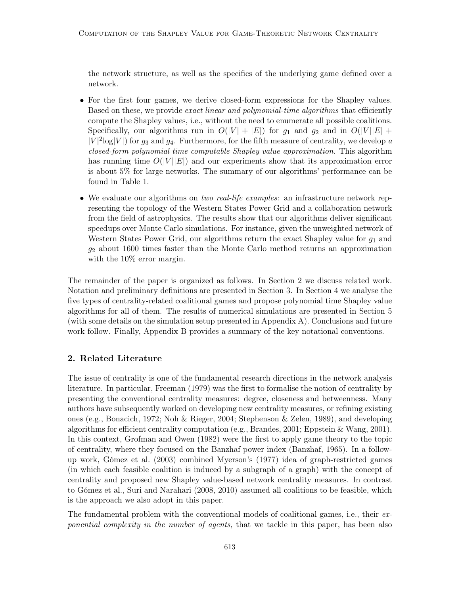the network structure, as well as the specifics of the underlying game defined over a network.

- For the first four games, we derive closed-form expressions for the Shapley values. Based on these, we provide *exact linear and polynomial-time algorithms* that efficiently compute the Shapley values, i.e., without the need to enumerate all possible coalitions. Specifically, our algorithms run in  $O(|V| + |E|)$  for  $g_1$  and  $g_2$  and in  $O(|V||E| + |E|)$  $|V|^2 \log|V|$  for  $g_3$  and  $g_4$ . Furthermore, for the fifth measure of centrality, we develop a closed-form polynomial time computable Shapley value approximation. This algorithm has running time  $O(|V||E|)$  and our experiments show that its approximation error is about 5% for large networks. The summary of our algorithms' performance can be found in Table 1.
- We evaluate our algorithms on two real-life examples: an infrastructure network representing the topology of the Western States Power Grid and a collaboration network from the field of astrophysics. The results show that our algorithms deliver significant speedups over Monte Carlo simulations. For instance, given the unweighted network of Western States Power Grid, our algorithms return the exact Shapley value for  $g_1$  and  $g_2$  about 1600 times faster than the Monte Carlo method returns an approximation with the  $10\%$  error margin.

The remainder of the paper is organized as follows. In Section 2 we discuss related work. Notation and preliminary definitions are presented in Section 3. In Section 4 we analyse the five types of centrality-related coalitional games and propose polynomial time Shapley value algorithms for all of them. The results of numerical simulations are presented in Section 5 (with some details on the simulation setup presented in Appendix A). Conclusions and future work follow. Finally, Appendix B provides a summary of the key notational conventions.

## 2. Related Literature

The issue of centrality is one of the fundamental research directions in the network analysis literature. In particular, Freeman (1979) was the first to formalise the notion of centrality by presenting the conventional centrality measures: degree, closeness and betweenness. Many authors have subsequently worked on developing new centrality measures, or refining existing ones (e.g., Bonacich, 1972; Noh & Rieger, 2004; Stephenson & Zelen, 1989), and developing algorithms for efficient centrality computation (e.g., Brandes, 2001; Eppstein & Wang, 2001). In this context, Grofman and Owen (1982) were the first to apply game theory to the topic of centrality, where they focused on the Banzhaf power index (Banzhaf, 1965). In a followup work, Gómez et al. (2003) combined Myerson's (1977) idea of graph-restricted games (in which each feasible coalition is induced by a subgraph of a graph) with the concept of centrality and proposed new Shapley value-based network centrality measures. In contrast to Gómez et al., Suri and Narahari (2008, 2010) assumed all coalitions to be feasible, which is the approach we also adopt in this paper.

The fundamental problem with the conventional models of coalitional games, i.e., their exponential complexity in the number of agents, that we tackle in this paper, has been also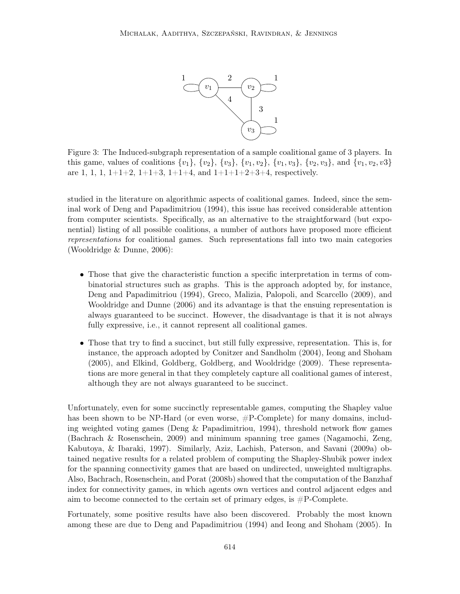

Figure 3: The Induced-subgraph representation of a sample coalitional game of 3 players. In this game, values of coalitions  $\{v_1\}$ ,  $\{v_2\}$ ,  $\{v_3\}$ ,  $\{v_1, v_2\}$ ,  $\{v_1, v_3\}$ ,  $\{v_2, v_3\}$ , and  $\{v_1, v_2, v_3\}$ are 1, 1, 1,  $1+1+2$ ,  $1+1+3$ ,  $1+1+4$ , and  $1+1+1+2+3+4$ , respectively.

studied in the literature on algorithmic aspects of coalitional games. Indeed, since the seminal work of Deng and Papadimitriou (1994), this issue has received considerable attention from computer scientists. Specifically, as an alternative to the straightforward (but exponential) listing of all possible coalitions, a number of authors have proposed more efficient representations for coalitional games. Such representations fall into two main categories (Wooldridge & Dunne, 2006):

- Those that give the characteristic function a specific interpretation in terms of combinatorial structures such as graphs. This is the approach adopted by, for instance, Deng and Papadimitriou (1994), Greco, Malizia, Palopoli, and Scarcello (2009), and Wooldridge and Dunne (2006) and its advantage is that the ensuing representation is always guaranteed to be succinct. However, the disadvantage is that it is not always fully expressive, i.e., it cannot represent all coalitional games.
- Those that try to find a succinct, but still fully expressive, representation. This is, for instance, the approach adopted by Conitzer and Sandholm (2004), Ieong and Shoham (2005), and Elkind, Goldberg, Goldberg, and Wooldridge (2009). These representations are more general in that they completely capture all coalitional games of interest, although they are not always guaranteed to be succinct.

Unfortunately, even for some succinctly representable games, computing the Shapley value has been shown to be NP-Hard (or even worse,  $\#P$ -Complete) for many domains, including weighted voting games (Deng & Papadimitriou, 1994), threshold network flow games (Bachrach & Rosenschein, 2009) and minimum spanning tree games (Nagamochi, Zeng, Kabutoya, & Ibaraki, 1997). Similarly, Aziz, Lachish, Paterson, and Savani (2009a) obtained negative results for a related problem of computing the Shapley-Shubik power index for the spanning connectivity games that are based on undirected, unweighted multigraphs. Also, Bachrach, Rosenschein, and Porat (2008b) showed that the computation of the Banzhaf index for connectivity games, in which agents own vertices and control adjacent edges and aim to become connected to the certain set of primary edges, is  $\#P$ -Complete.

Fortunately, some positive results have also been discovered. Probably the most known among these are due to Deng and Papadimitriou (1994) and Ieong and Shoham (2005). In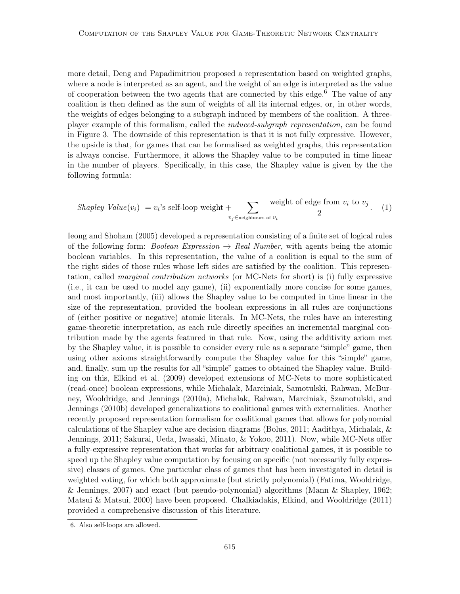more detail, Deng and Papadimitriou proposed a representation based on weighted graphs, where a node is interpreted as an agent, and the weight of an edge is interpreted as the value of cooperation between the two agents that are connected by this edge.<sup>6</sup> The value of any coalition is then defined as the sum of weights of all its internal edges, or, in other words, the weights of edges belonging to a subgraph induced by members of the coalition. A threeplayer example of this formalism, called the induced-subgraph representation, can be found in Figure 3. The downside of this representation is that it is not fully expressive. However, the upside is that, for games that can be formalised as weighted graphs, this representation is always concise. Furthermore, it allows the Shapley value to be computed in time linear in the number of players. Specifically, in this case, the Shapley value is given by the the following formula:

*Shapley Value*(
$$
v_i
$$
) =  $v_i$ 's self-loop weight +  $\sum_{v_j \in \text{neighbours of } v_i} \frac{\text{weight of edge from } v_i \text{ to } v_j}{2}$ . (1)

Ieong and Shoham (2005) developed a representation consisting of a finite set of logical rules of the following form: *Boolean Expression*  $\rightarrow$  *Real Number*, with agents being the atomic boolean variables. In this representation, the value of a coalition is equal to the sum of the right sides of those rules whose left sides are satisfied by the coalition. This representation, called marginal contribution networks (or MC-Nets for short) is (i) fully expressive (i.e., it can be used to model any game), (ii) exponentially more concise for some games, and most importantly, (iii) allows the Shapley value to be computed in time linear in the size of the representation, provided the boolean expressions in all rules are conjunctions of (either positive or negative) atomic literals. In MC-Nets, the rules have an interesting game-theoretic interpretation, as each rule directly specifies an incremental marginal contribution made by the agents featured in that rule. Now, using the additivity axiom met by the Shapley value, it is possible to consider every rule as a separate "simple" game, then using other axioms straightforwardly compute the Shapley value for this "simple" game, and, finally, sum up the results for all "simple" games to obtained the Shapley value. Building on this, Elkind et al. (2009) developed extensions of MC-Nets to more sophisticated (read-once) boolean expressions, while Michalak, Marciniak, Samotulski, Rahwan, McBurney, Wooldridge, and Jennings (2010a), Michalak, Rahwan, Marciniak, Szamotulski, and Jennings (2010b) developed generalizations to coalitional games with externalities. Another recently proposed representation formalism for coalitional games that allows for polynomial calculations of the Shapley value are decision diagrams (Bolus, 2011; Aadithya, Michalak, & Jennings, 2011; Sakurai, Ueda, Iwasaki, Minato, & Yokoo, 2011). Now, while MC-Nets offer a fully-expressive representation that works for arbitrary coalitional games, it is possible to speed up the Shapley value computation by focusing on specific (not necessarily fully expressive) classes of games. One particular class of games that has been investigated in detail is weighted voting, for which both approximate (but strictly polynomial) (Fatima, Wooldridge, & Jennings, 2007) and exact (but pseudo-polynomial) algorithms (Mann & Shapley, 1962; Matsui & Matsui, 2000) have been proposed. Chalkiadakis, Elkind, and Wooldridge (2011) provided a comprehensive discussion of this literature.

<sup>6.</sup> Also self-loops are allowed.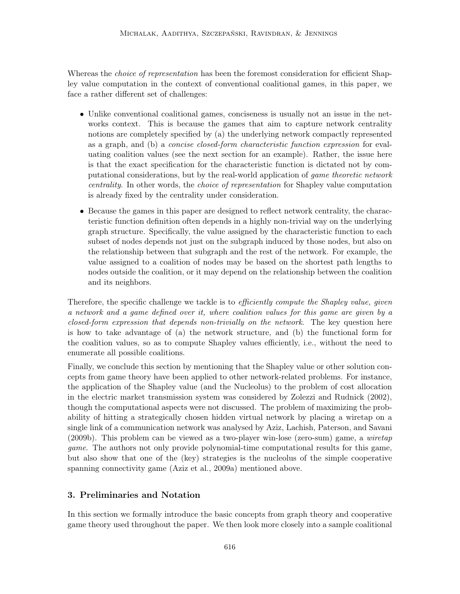Whereas the *choice of representation* has been the foremost consideration for efficient Shapley value computation in the context of conventional coalitional games, in this paper, we face a rather different set of challenges:

- Unlike conventional coalitional games, conciseness is usually not an issue in the networks context. This is because the games that aim to capture network centrality notions are completely specified by (a) the underlying network compactly represented as a graph, and (b) a concise closed-form characteristic function expression for evaluating coalition values (see the next section for an example). Rather, the issue here is that the exact specification for the characteristic function is dictated not by computational considerations, but by the real-world application of game theoretic network centrality. In other words, the choice of representation for Shapley value computation is already fixed by the centrality under consideration.
- Because the games in this paper are designed to reflect network centrality, the characteristic function definition often depends in a highly non-trivial way on the underlying graph structure. Specifically, the value assigned by the characteristic function to each subset of nodes depends not just on the subgraph induced by those nodes, but also on the relationship between that subgraph and the rest of the network. For example, the value assigned to a coalition of nodes may be based on the shortest path lengths to nodes outside the coalition, or it may depend on the relationship between the coalition and its neighbors.

Therefore, the specific challenge we tackle is to *efficiently compute the Shapley value, given* a network and a game defined over it, where coalition values for this game are given by a closed-form expression that depends non-trivially on the network. The key question here is how to take advantage of (a) the network structure, and (b) the functional form for the coalition values, so as to compute Shapley values efficiently, i.e., without the need to enumerate all possible coalitions.

Finally, we conclude this section by mentioning that the Shapley value or other solution concepts from game theory have been applied to other network-related problems. For instance, the application of the Shapley value (and the Nucleolus) to the problem of cost allocation in the electric market transmission system was considered by Zolezzi and Rudnick (2002), though the computational aspects were not discussed. The problem of maximizing the probability of hitting a strategically chosen hidden virtual network by placing a wiretap on a single link of a communication network was analysed by Aziz, Lachish, Paterson, and Savani (2009b). This problem can be viewed as a two-player win-lose (zero-sum) game, a wiretap game. The authors not only provide polynomial-time computational results for this game, but also show that one of the (key) strategies is the nucleolus of the simple cooperative spanning connectivity game (Aziz et al., 2009a) mentioned above.

## 3. Preliminaries and Notation

In this section we formally introduce the basic concepts from graph theory and cooperative game theory used throughout the paper. We then look more closely into a sample coalitional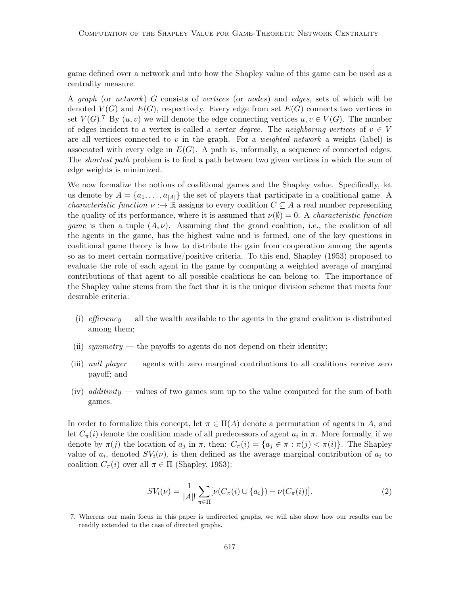game defined over a network and into how the Shapley value of this game can be used as a centrality measure.

A graph (or network) G consists of vertices (or nodes) and edges, sets of which will be denoted  $V(G)$  and  $E(G)$ , respectively. Every edge from set  $E(G)$  connects two vertices in set  $V(G)$ .<sup>7</sup> By  $(u, v)$  we will denote the edge connecting vertices  $u, v \in V(G)$ . The number of edges incident to a vertex is called a vertex degree. The neighboring vertices of  $v \in V$ are all vertices connected to v in the graph. For a weighted network a weight (label) is associated with every edge in  $E(G)$ . A path is, informally, a sequence of connected edges. The *shortest path* problem is to find a path between two given vertices in which the sum of edge weights is minimized.

We now formalize the notions of coalitional games and the Shapley value. Specifically, let us denote by  $A = \{a_1, \ldots, a_{|A|}\}\$ the set of players that participate in a coalitional game. A *characteristic function*  $\nu : \rightarrow \mathbb{R}$  assigns to every coalition  $C \subseteq A$  a real number representing the quality of its performance, where it is assumed that  $\nu(\emptyset) = 0$ . A *characteristic function* game is then a tuple  $(A, \nu)$ . Assuming that the grand coalition, i.e., the coalition of all the agents in the game, has the highest value and is formed, one of the key questions in coalitional game theory is how to distribute the gain from cooperation among the agents so as to meet certain normative/positive criteria. To this end, Shapley (1953) proposed to evaluate the role of each agent in the game by computing a weighted average of marginal contributions of that agent to all possible coalitions he can belong to. The importance of the Shapley value stems from the fact that it is the unique division scheme that meets four desirable criteria:

- (i) efficiency all the wealth available to the agents in the grand coalition is distributed among them;
- (ii) symmetry the payoffs to agents do not depend on their identity;
- (iii) null player agents with zero marginal contributions to all coalitions receive zero payoff; and
- (iv) additivity values of two games sum up to the value computed for the sum of both games.

In order to formalize this concept, let  $\pi \in \Pi(A)$  denote a permutation of agents in A, and let  $C_{\pi}(i)$  denote the coalition made of all predecessors of agent  $a_i$  in  $\pi$ . More formally, if we denote by  $\pi(j)$  the location of  $a_j$  in  $\pi$ , then:  $C_{\pi}(i) = \{a_j \in \pi : \pi(j) < \pi(i)\}$ . The Shapley value of  $a_i$ , denoted  $SV_i(\nu)$ , is then defined as the average marginal contribution of  $a_i$  to coalition  $C_{\pi}(i)$  over all  $\pi \in \Pi$  (Shapley, 1953):

$$
SV_i(\nu) = \frac{1}{|A|!} \sum_{\pi \in \Pi} [\nu(C_{\pi}(i) \cup \{a_i\}) - \nu(C_{\pi}(i))]. \tag{2}
$$

<sup>7.</sup> Whereas our main focus in this paper is undirected graphs, we will also show how our results can be readily extended to the case of directed graphs.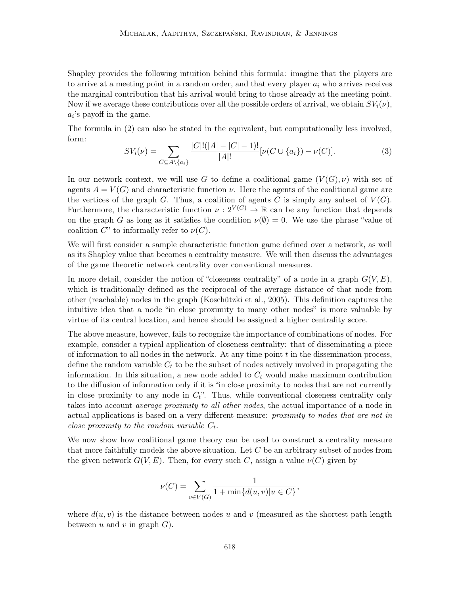Shapley provides the following intuition behind this formula: imagine that the players are to arrive at a meeting point in a random order, and that every player  $a_i$  who arrives receives the marginal contribution that his arrival would bring to those already at the meeting point. Now if we average these contributions over all the possible orders of arrival, we obtain  $SV_i(\nu)$ ,  $a_i$ 's payoff in the game.

The formula in (2) can also be stated in the equivalent, but computationally less involved, form:

$$
SV_i(\nu) = \sum_{C \subseteq A \setminus \{a_i\}} \frac{|C|!(|A| - |C| - 1)!}{|A|!} [\nu(C \cup \{a_i\}) - \nu(C)]. \tag{3}
$$

In our network context, we will use G to define a coalitional game  $(V(G), \nu)$  with set of agents  $A = V(G)$  and characteristic function  $\nu$ . Here the agents of the coalitional game are the vertices of the graph G. Thus, a coalition of agents C is simply any subset of  $V(G)$ . Furthermore, the characteristic function  $\nu : 2^{V(G)} \to \mathbb{R}$  can be any function that depends on the graph G as long as it satisfies the condition  $\nu(\emptyset) = 0$ . We use the phrase "value of coalition  $C^"$  to informally refer to  $\nu(C)$ .

We will first consider a sample characteristic function game defined over a network, as well as its Shapley value that becomes a centrality measure. We will then discuss the advantages of the game theoretic network centrality over conventional measures.

In more detail, consider the notion of "closeness centrality" of a node in a graph  $G(V, E)$ , which is traditionally defined as the reciprocal of the average distance of that node from other (reachable) nodes in the graph (Koschützki et al., 2005). This definition captures the intuitive idea that a node "in close proximity to many other nodes" is more valuable by virtue of its central location, and hence should be assigned a higher centrality score.

The above measure, however, fails to recognize the importance of combinations of nodes. For example, consider a typical application of closeness centrality: that of disseminating a piece of information to all nodes in the network. At any time point  $t$  in the dissemination process, define the random variable  $C_t$  to be the subset of nodes actively involved in propagating the information. In this situation, a new node added to  $C_t$  would make maximum contribution to the diffusion of information only if it is "in close proximity to nodes that are not currently in close proximity to any node in  $C_t$ ". Thus, while conventional closeness centrality only takes into account average proximity to all other nodes, the actual importance of a node in actual applications is based on a very different measure: proximity to nodes that are not in close proximity to the random variable  $C_t$ .

We now show how coalitional game theory can be used to construct a centrality measure that more faithfully models the above situation. Let  $C$  be an arbitrary subset of nodes from the given network  $G(V, E)$ . Then, for every such C, assign a value  $\nu(C)$  given by

$$
\nu(C) = \sum_{v \in V(G)} \frac{1}{1 + \min\{d(u, v)|u \in C\}},
$$

where  $d(u, v)$  is the distance between nodes u and v (measured as the shortest path length between u and v in graph  $G$ ).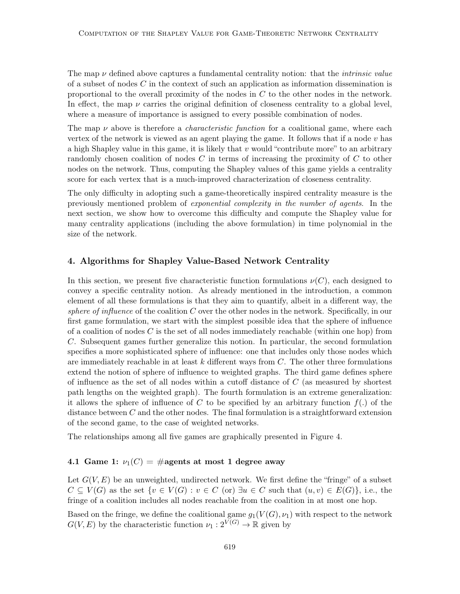The map  $\nu$  defined above captures a fundamental centrality notion: that the *intrinsic value* of a subset of nodes C in the context of such an application as information dissemination is proportional to the overall proximity of the nodes in C to the other nodes in the network. In effect, the map  $\nu$  carries the original definition of closeness centrality to a global level, where a measure of importance is assigned to every possible combination of nodes.

The map  $\nu$  above is therefore a *characteristic function* for a coalitional game, where each vertex of the network is viewed as an agent playing the game. It follows that if a node  $v$  has a high Shapley value in this game, it is likely that  $v$  would "contribute more" to an arbitrary randomly chosen coalition of nodes C in terms of increasing the proximity of C to other nodes on the network. Thus, computing the Shapley values of this game yields a centrality score for each vertex that is a much-improved characterization of closeness centrality.

The only difficulty in adopting such a game-theoretically inspired centrality measure is the previously mentioned problem of exponential complexity in the number of agents. In the next section, we show how to overcome this difficulty and compute the Shapley value for many centrality applications (including the above formulation) in time polynomial in the size of the network.

### 4. Algorithms for Shapley Value-Based Network Centrality

In this section, we present five characteristic function formulations  $\nu(C)$ , each designed to convey a specific centrality notion. As already mentioned in the introduction, a common element of all these formulations is that they aim to quantify, albeit in a different way, the sphere of influence of the coalition  $C$  over the other nodes in the network. Specifically, in our first game formulation, we start with the simplest possible idea that the sphere of influence of a coalition of nodes  $C$  is the set of all nodes immediately reachable (within one hop) from C. Subsequent games further generalize this notion. In particular, the second formulation specifies a more sophisticated sphere of influence: one that includes only those nodes which are immediately reachable in at least  $k$  different ways from  $C$ . The other three formulations extend the notion of sphere of influence to weighted graphs. The third game defines sphere of influence as the set of all nodes within a cutoff distance of C (as measured by shortest path lengths on the weighted graph). The fourth formulation is an extreme generalization: it allows the sphere of influence of C to be specified by an arbitrary function  $f(.)$  of the distance between  $C$  and the other nodes. The final formulation is a straightforward extension of the second game, to the case of weighted networks.

The relationships among all five games are graphically presented in Figure 4.

## 4.1 Game 1:  $\nu_1(C) = \text{\#agents at most 1 degree away}$

Let  $G(V, E)$  be an unweighted, undirected network. We first define the "fringe" of a subset  $C \subseteq V(G)$  as the set  $\{v \in V(G) : v \in C$  (or)  $\exists u \in C$  such that  $(u, v) \in E(G) \}$ , i.e., the fringe of a coalition includes all nodes reachable from the coalition in at most one hop.

Based on the fringe, we define the coalitional game  $g_1(V(G), \nu_1)$  with respect to the network  $G(V, E)$  by the characteristic function  $\nu_1 : 2^{\overline{V}(G)} \to \mathbb{R}$  given by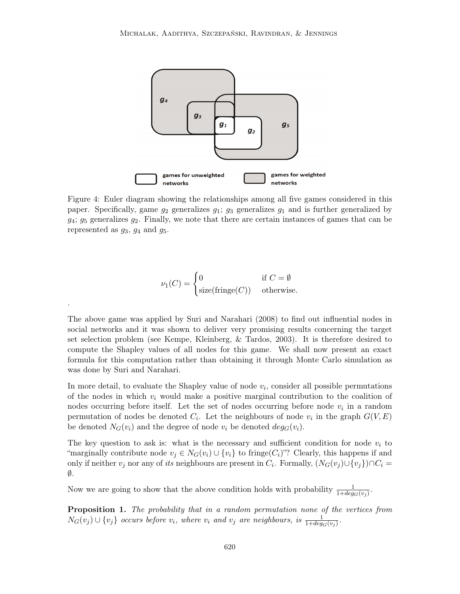

Figure 4: Euler diagram showing the relationships among all five games considered in this paper. Specifically, game  $g_2$  generalizes  $g_1$ ;  $g_3$  generalizes  $g_1$  and is further generalized by  $g_4$ ;  $g_5$  generalizes  $g_2$ . Finally, we note that there are certain instances of games that can be represented as  $g_3$ ,  $g_4$  and  $g_5$ .

$$
\nu_1(C) = \begin{cases} 0 & \text{if } C = \emptyset \\ \text{size}(\text{fringe}(C)) & \text{otherwise.} \end{cases}
$$

.

The above game was applied by Suri and Narahari (2008) to find out influential nodes in social networks and it was shown to deliver very promising results concerning the target set selection problem (see Kempe, Kleinberg, & Tardos, 2003). It is therefore desired to compute the Shapley values of all nodes for this game. We shall now present an exact formula for this computation rather than obtaining it through Monte Carlo simulation as was done by Suri and Narahari.

In more detail, to evaluate the Shapley value of node  $v_i$ , consider all possible permutations of the nodes in which  $v_i$  would make a positive marginal contribution to the coalition of nodes occurring before itself. Let the set of nodes occurring before node  $v_i$  in a random permutation of nodes be denoted  $C_i$ . Let the neighbours of node  $v_i$  in the graph  $G(V, E)$ be denoted  $N_G(v_i)$  and the degree of node  $v_i$  be denoted  $deg_G(v_i)$ .

The key question to ask is: what is the necessary and sufficient condition for node  $v_i$  to "marginally contribute node  $v_i \in N_G(v_i) \cup \{v_i\}$  to fringe $(C_i)$ "? Clearly, this happens if and only if neither  $v_j$  nor any of *its* neighbours are present in  $C_i$ . Formally,  $(N_G(v_j) \cup \{v_j\}) \cap C_i =$  $\emptyset$ .

Now we are going to show that the above condition holds with probability  $\frac{1}{1+deg_G(v_j)}$ .

**Proposition 1.** The probability that in a random permutation none of the vertices from  $N_G(v_j) \cup \{v_j\}$  occurs before  $v_i$ , where  $v_i$  and  $v_j$  are neighbours, is  $\frac{1}{1+deg_G(v_j)}$ .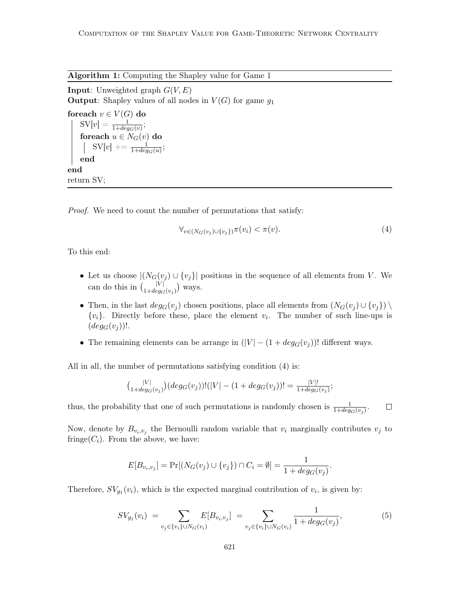Algorithm 1: Computing the Shapley value for Game 1

**Input:** Unweighted graph  $G(V, E)$ **Output:** Shapley values of all nodes in  $V(G)$  for game  $g_1$ 

foreach  $v \in V(G)$  do  $\text{SV}[v] = \frac{1}{1 + deg_G(v)}$ foreach  $u \in N_G(v)$  do  $SV[v] += \frac{1}{1 + deg_G(u)};$ end end return SV;

Proof. We need to count the number of permutations that satisfy:

$$
\forall_{v \in (N_G(v_j) \cup \{v_j\})} \pi(v_i) < \pi(v). \tag{4}
$$

To this end:

- Let us choose  $|(N_G(v_j) \cup \{v_j\})|$  positions in the sequence of all elements from V. We can do this in  $\binom{|V|}{1+deg_G(v_j)}$  ways.
- Then, in the last  $deg_G(v_i)$  chosen positions, place all elements from  $(N_G(v_i) \cup \{v_i\}) \setminus$  ${v_i}$ . Directly before these, place the element  $v_i$ . The number of such line-ups is  $(deg_G(v_i))!$ .
- The remaining elements can be arrange in  $(|V| (1 + deg_G(v_i)))$ ! different ways.

All in all, the number of permutations satisfying condition (4) is:

$$
{\binom{|V|}{1+deg_G(v_j)}}(deg_G(v_j))!(|V|-(1+deg_G(v_j))!=\frac{|V|!}{1+deg_G(v_j)};
$$

thus, the probability that one of such permutations is randomly chosen is  $\frac{1}{1+deg_G(v_j)}$ .  $\Box$ 

Now, denote by  $B_{v_i,v_j}$  the Bernoulli random variable that  $v_i$  marginally contributes  $v_j$  to fringe( $C_i$ ). From the above, we have:

$$
E[B_{v_i,v_j}] = \Pr[(N_G(v_j) \cup \{v_j\}) \cap C_i = \emptyset] = \frac{1}{1 + deg_G(v_j)}.
$$

Therefore,  $SV_{g_1}(v_i)$ , which is the expected marginal contribution of  $v_i$ , is given by:

$$
SV_{g_1}(v_i) = \sum_{v_j \in \{v_i\} \cup N_G(v_i)} E[B_{v_i, v_j}] = \sum_{v_j \in \{v_i\} \cup N_G(v_i)} \frac{1}{1 + deg_G(v_j)},
$$
\n(5)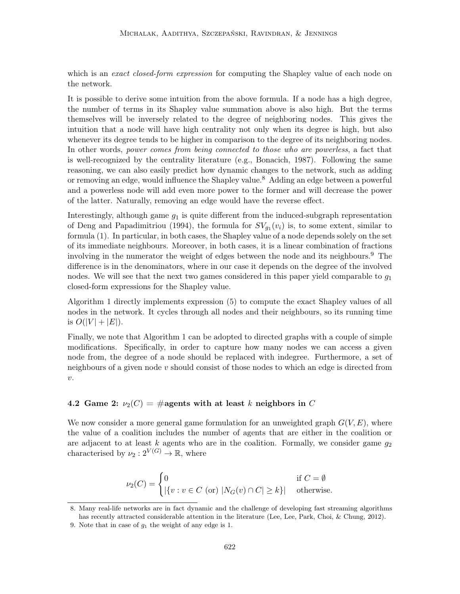which is an *exact closed-form expression* for computing the Shapley value of each node on the network.

It is possible to derive some intuition from the above formula. If a node has a high degree, the number of terms in its Shapley value summation above is also high. But the terms themselves will be inversely related to the degree of neighboring nodes. This gives the intuition that a node will have high centrality not only when its degree is high, but also whenever its degree tends to be higher in comparison to the degree of its neighboring nodes. In other words, power comes from being connected to those who are powerless, a fact that is well-recognized by the centrality literature (e.g., Bonacich, 1987). Following the same reasoning, we can also easily predict how dynamic changes to the network, such as adding or removing an edge, would influence the Shapley value.<sup>8</sup> Adding an edge between a powerful and a powerless node will add even more power to the former and will decrease the power of the latter. Naturally, removing an edge would have the reverse effect.

Interestingly, although game  $g_1$  is quite different from the induced-subgraph representation of Deng and Papadimitriou (1994), the formula for  $SV_{g_1}(v_i)$  is, to some extent, similar to formula (1). In particular, in both cases, the Shapley value of a node depends solely on the set of its immediate neighbours. Moreover, in both cases, it is a linear combination of fractions involving in the numerator the weight of edges between the node and its neighbours.<sup>9</sup> The difference is in the denominators, where in our case it depends on the degree of the involved nodes. We will see that the next two games considered in this paper yield comparable to  $g_1$ closed-form expressions for the Shapley value.

Algorithm 1 directly implements expression (5) to compute the exact Shapley values of all nodes in the network. It cycles through all nodes and their neighbours, so its running time is  $O(|V| + |E|)$ .

Finally, we note that Algorithm 1 can be adopted to directed graphs with a couple of simple modifications. Specifically, in order to capture how many nodes we can access a given node from, the degree of a node should be replaced with indegree. Furthermore, a set of neighbours of a given node  $v$  should consist of those nodes to which an edge is directed from  $\upsilon$ .

## 4.2 Game 2:  $\nu_2(C) = \text{\#agents with at least } k \text{ neighbors in } C$

We now consider a more general game formulation for an unweighted graph  $G(V, E)$ , where the value of a coalition includes the number of agents that are either in the coalition or are adjacent to at least k agents who are in the coalition. Formally, we consider game  $q_2$ characterised by  $\nu_2: 2^{V(G)} \to \mathbb{R}$ , where

$$
\nu_2(C) = \begin{cases} 0 & \text{if } C = \emptyset \\ |\{v : v \in C \text{ (or) } |N_G(v) \cap C| \ge k\}| & \text{otherwise.} \end{cases}
$$

<sup>8.</sup> Many real-life networks are in fact dynamic and the challenge of developing fast streaming algorithms has recently attracted considerable attention in the literature (Lee, Lee, Park, Choi, & Chung, 2012).

<sup>9.</sup> Note that in case of  $q_1$  the weight of any edge is 1.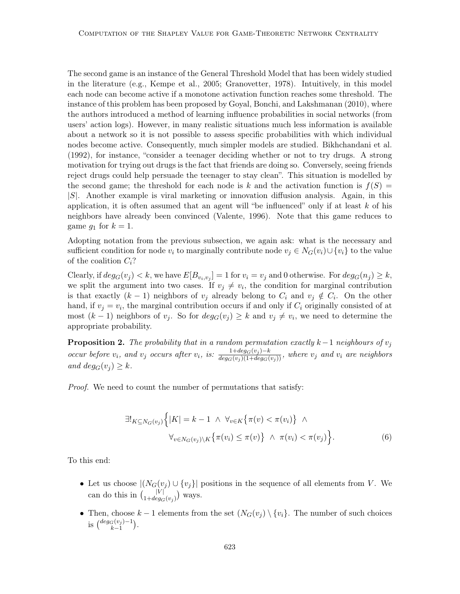The second game is an instance of the General Threshold Model that has been widely studied in the literature (e.g., Kempe et al., 2005; Granovetter, 1978). Intuitively, in this model each node can become active if a monotone activation function reaches some threshold. The instance of this problem has been proposed by Goyal, Bonchi, and Lakshmanan (2010), where the authors introduced a method of learning influence probabilities in social networks (from users' action logs). However, in many realistic situations much less information is available about a network so it is not possible to assess specific probabilities with which individual nodes become active. Consequently, much simpler models are studied. Bikhchandani et al. (1992), for instance, "consider a teenager deciding whether or not to try drugs. A strong motivation for trying out drugs is the fact that friends are doing so. Conversely, seeing friends reject drugs could help persuade the teenager to stay clean". This situation is modelled by the second game; the threshold for each node is k and the activation function is  $f(S)$  =  $|S|$ . Another example is viral marketing or innovation diffusion analysis. Again, in this application, it is often assumed that an agent will "be influenced" only if at least  $k$  of his neighbors have already been convinced (Valente, 1996). Note that this game reduces to game  $g_1$  for  $k = 1$ .

Adopting notation from the previous subsection, we again ask: what is the necessary and sufficient condition for node  $v_i$  to marginally contribute node  $v_j \in N_G(v_i) \cup \{v_i\}$  to the value of the coalition  $C_i$ ?

Clearly, if  $deg_G(v_j) < k$ , we have  $E[B_{v_i,v_j}] = 1$  for  $v_i = v_j$  and 0 otherwise. For  $deg_G(n_j) \geq k$ , we split the argument into two cases. If  $v_j \neq v_i$ , the condition for marginal contribution is that exactly  $(k-1)$  neighbors of  $v_j$  already belong to  $C_i$  and  $v_j \notin C_i$ . On the other hand, if  $v_j = v_i$ , the marginal contribution occurs if and only if  $C_i$  originally consisted of at most  $(k-1)$  neighbors of  $v_j$ . So for  $deg_G(v_j) \geq k$  and  $v_j \neq v_i$ , we need to determine the appropriate probability.

**Proposition 2.** The probability that in a random permutation exactly k–1 neighbours of  $v_j$ occur before  $v_i$ , and  $v_j$  occurs after  $v_i$ , is:  $\frac{1+deg_G(v_j)-k}{deg_G(v_j)(1+deg_G(v_j))}$ , where  $v_j$  and  $v_i$  are neighbors and  $deg_G(v_i) \geq k$ .

Proof. We need to count the number of permutations that satisfy:

$$
\exists!_{K \subseteq N_G(v_j)} \Big\{ |K| = k - 1 \ \land \ \forall_{v \in K} \{ \pi(v) < \pi(v_i) \} \ \land \ \forall_{v \in N_G(v_j) \setminus K} \{ \pi(v_i) \le \pi(v) \} \ \land \ \pi(v_i) < \pi(v_j) \Big\}.\tag{6}
$$

To this end:

- Let us choose  $|(N_G(v_j) \cup \{v_j\})|$  positions in the sequence of all elements from V. We can do this in  $\binom{|V|}{1+deg_G(v_j)}$  ways.
- Then, choose  $k-1$  elements from the set  $(N_G(v_i) \setminus \{v_i\})$ . The number of such choices is  $\binom{deg_G(v_j)-1}{k-1}$ .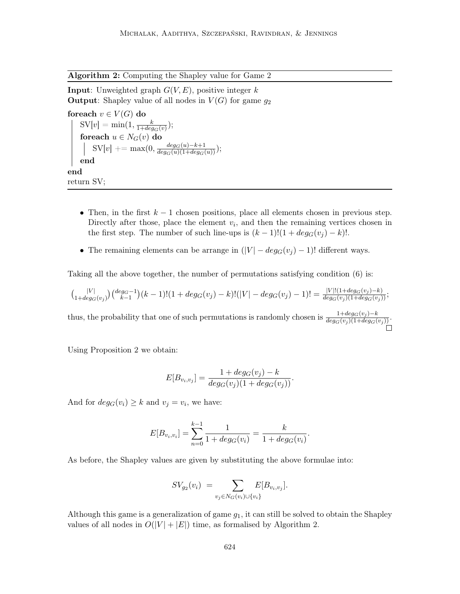Algorithm 2: Computing the Shapley value for Game 2

**Input:** Unweighted graph  $G(V, E)$ , positive integer k **Output:** Shapley value of all nodes in  $V(G)$  for game  $q_2$ 

foreach  $v \in V(G)$  do  $\mathrm{SV}[v] = \min(1, \frac{k}{1+dec})$  $\frac{k}{1+deg_G(v)}$ ); foreach  $u \in N_G(v)$  do  $\mathrm{SV}[v] \mathrel{+}= \max(0, \frac{deg_G(u)-k+1}{deg_G(u)(1+deg_G(u))});$ end end return SV;

- Then, in the first  $k-1$  chosen positions, place all elements chosen in previous step. Directly after those, place the element  $v_i$ , and then the remaining vertices chosen in the first step. The number of such line-ups is  $(k-1)!(1+deg_G(v_i)-k)!$ .
- The remaining elements can be arrange in  $(|V| deg_G(v_j) 1)!$  different ways.

Taking all the above together, the number of permutations satisfying condition (6) is:

$$
{|V| \choose 1+deg_G(v_j)}{deg_G-1 \choose k-1}(k-1)!(1+deg_G(v_j)-k)!(|V|-deg_G(v_j)-1)!={|V|!(1+deg_G(v_j)-k) \over deg_G(v_j)(1+deg_G(v_j))};
$$

thus, the probability that one of such permutations is randomly chosen is  $\frac{1+deg_G(v_j)-k}{deg_G(v_j)(1+deg_G(v_j))}$ .

Using Proposition 2 we obtain:

$$
E[B_{v_i, v_j}] = \frac{1 + deg_G(v_j) - k}{deg_G(v_j)(1 + deg_G(v_j))}.
$$

And for  $deg_G(v_i) \geq k$  and  $v_j = v_i$ , we have:

$$
E[B_{v_i,v_i}] = \sum_{n=0}^{k-1} \frac{1}{1 + deg_G(v_i)} = \frac{k}{1 + deg_G(v_i)}.
$$

As before, the Shapley values are given by substituting the above formulae into:

$$
SV_{g_2}(v_i) = \sum_{v_j \in N_G(v_i) \cup \{v_i\}} E[B_{v_i, v_j}].
$$

Although this game is a generalization of game  $g_1$ , it can still be solved to obtain the Shapley values of all nodes in  $O(|V| + |E|)$  time, as formalised by Algorithm 2.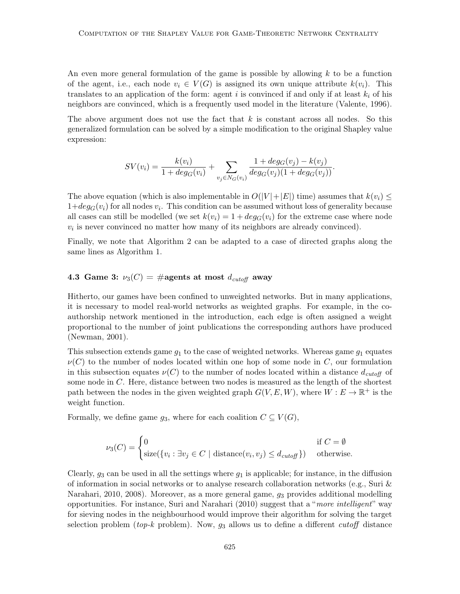An even more general formulation of the game is possible by allowing  $k$  to be a function of the agent, i.e., each node  $v_i \in V(G)$  is assigned its own unique attribute  $k(v_i)$ . This translates to an application of the form: agent i is convinced if and only if at least  $k_i$  of his neighbors are convinced, which is a frequently used model in the literature (Valente, 1996).

The above argument does not use the fact that  $k$  is constant across all nodes. So this generalized formulation can be solved by a simple modification to the original Shapley value expression:

$$
SV(v_i) = \frac{k(v_i)}{1 + deg_G(v_i)} + \sum_{v_j \in N_G(v_i)} \frac{1 + deg_G(v_j) - k(v_j)}{deg_G(v_j)(1 + deg_G(v_j))}.
$$

The above equation (which is also implementable in  $O(|V|+|E|)$  time) assumes that  $k(v_i) \leq$  $1+deg_G(v_i)$  for all nodes  $v_i$ . This condition can be assumed without loss of generality because all cases can still be modelled (we set  $k(v_i) = 1 + deg_G(v_i)$  for the extreme case where node  $v_i$  is never convinced no matter how many of its neighbors are already convinced).

Finally, we note that Algorithm 2 can be adapted to a case of directed graphs along the same lines as Algorithm 1.

## 4.3 Game 3:  $\nu_3(C) = \text{\#agents at most } d_{\text{cutoff}}$  away

Hitherto, our games have been confined to unweighted networks. But in many applications, it is necessary to model real-world networks as weighted graphs. For example, in the coauthorship network mentioned in the introduction, each edge is often assigned a weight proportional to the number of joint publications the corresponding authors have produced (Newman, 2001).

This subsection extends game  $g_1$  to the case of weighted networks. Whereas game  $g_1$  equates  $\nu(C)$  to the number of nodes located within one hop of some node in C, our formulation in this subsection equates  $\nu(C)$  to the number of nodes located within a distance  $d_{cutoff}$  of some node in C. Here, distance between two nodes is measured as the length of the shortest path between the nodes in the given weighted graph  $G(V, E, W)$ , where  $W : E \to \mathbb{R}^+$  is the weight function.

Formally, we define game  $g_3$ , where for each coalition  $C \subseteq V(G)$ ,

$$
\nu_3(C) = \begin{cases} 0 & \text{if } C = \emptyset \\ \text{size}(\{v_i : \exists v_j \in C \mid \text{distance}(v_i, v_j) \le d_{cutoff}\}) & \text{otherwise.} \end{cases}
$$

Clearly,  $g_3$  can be used in all the settings where  $g_1$  is applicable; for instance, in the diffusion of information in social networks or to analyse research collaboration networks (e.g., Suri & Narahari, 2010, 2008). Moreover, as a more general game,  $g_3$  provides additional modelling opportunities. For instance, Suri and Narahari (2010) suggest that a "more intelligent" way for sieving nodes in the neighbourhood would improve their algorithm for solving the target selection problem (top-k problem). Now,  $g_3$  allows us to define a different cutoff distance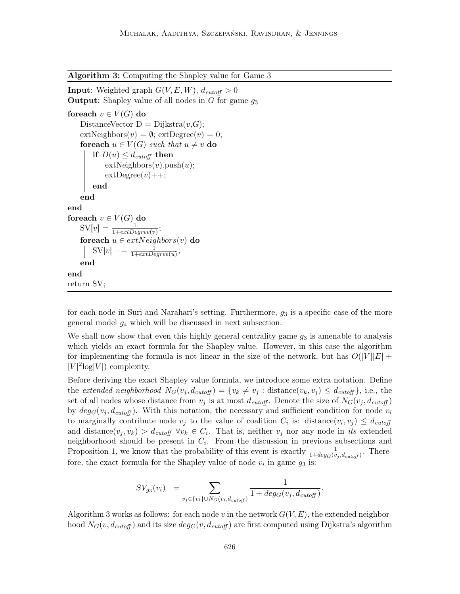Algorithm 3: Computing the Shapley value for Game 3

**Input:** Weighted graph  $G(V, E, W)$ ,  $d_{cutoff} > 0$ **Output:** Shapley value of all nodes in  $G$  for game  $g_3$ 

```
foreach v \in V(G) do
   DistanceVector D = Dijkstra(v,G);extNeighbors(v) = \emptyset; extDegree(v) = 0;
   for each u \in V(G) such that u \neq v do
       if D(u) \leq d_{cutoff} then
           extNeighbors(v).push(u);extDegree(v)++;end
   end
end
foreach v \in V(G) do
    SV[v] = \frac{1}{1+extDegree(v)};
    foreach u \in extNeighbors(v) do
        \text{SV}[v] \mathrel{+}= \frac{1}{1 + \text{extDegree}(u)};end
end
return SV;
```
for each node in Suri and Narahari's setting. Furthermore,  $g_3$  is a specific case of the more general model  $q_4$  which will be discussed in next subsection.

We shall now show that even this highly general centrality game  $q_3$  is amenable to analysis which yields an exact formula for the Shapley value. However, in this case the algorithm for implementing the formula is not linear in the size of the network, but has  $O(|V||E| +$  $|V|^2 \log |V|$  complexity.

Before deriving the exact Shapley value formula, we introduce some extra notation. Define the extended neighborhood  $N_G(v_j, d_{cutoff}) = \{v_k \neq v_j : \text{distance}(v_k, v_j) \leq d_{cutoff}\}$ , i.e., the set of all nodes whose distance from  $v_j$  is at most  $d_{cutoff}$ . Denote the size of  $N_G(v_j, d_{cutoff})$ by  $deg_G(v_i, d_{cutoff})$ . With this notation, the necessary and sufficient condition for node  $v_i$ to marginally contribute node  $v_j$  to the value of coalition  $C_i$  is: distance $(v_i, v_j) \leq d_{cutoff}$ and distance $(v_j, v_k) > d_{cutoff} \ \forall v_k \in C_i$ . That is, neither  $v_j$  nor any node in its extended neighborhood should be present in  $C_i$ . From the discussion in previous subsections and Proposition 1, we know that the probability of this event is exactly  $\frac{1}{1+deg_G(v_j, d_{cutoff})}$ . Therefore, the exact formula for the Shapley value of node  $v_i$  in game  $g_3$  is:

$$
SV_{g_3}(v_i) = \sum_{v_j \in \{v_i\} \cup N_G(v_i, d_{cutoff})} \frac{1}{1 + deg_G(v_j, d_{cutoff})}.
$$

Algorithm 3 works as follows: for each node v in the network  $G(V, E)$ , the extended neighborhood  $N_G(v, d_{cutoff})$  and its size  $deg_G(v, d_{cutoff})$  are first computed using Dijkstra's algorithm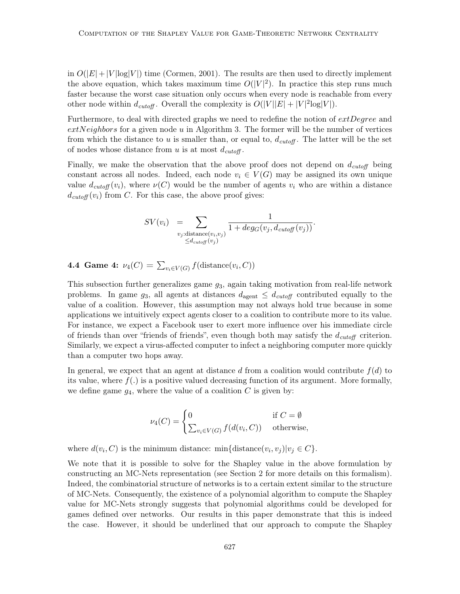in  $O(|E|+|V| \log|V|)$  time (Cormen, 2001). The results are then used to directly implement the above equation, which takes maximum time  $O(|V|^2)$ . In practice this step runs much faster because the worst case situation only occurs when every node is reachable from every other node within  $d_{cutoff}$ . Overall the complexity is  $O(|V||E| + |V|^2 \log|V|)$ .

Furthermore, to deal with directed graphs we need to redefine the notion of  $extDegree$  and  $extNeighbors$  for a given node  $u$  in Algorithm 3. The former will be the number of vertices from which the distance to u is smaller than, or equal to,  $d_{cutoff}$ . The latter will be the set of nodes whose distance from u is at most  $d_{cutoff}$ .

Finally, we make the observation that the above proof does not depend on  $d_{cutoff}$  being constant across all nodes. Indeed, each node  $v_i \in V(G)$  may be assigned its own unique value  $d_{cutoff}(v_i)$ , where  $\nu(C)$  would be the number of agents  $v_i$  who are within a distance  $d_{cutoff}(v_i)$  from C. For this case, the above proof gives:

$$
SV(v_i) = \sum_{\substack{v_j:\text{distance}(v_i,v_j) \\ \leq d_{cutoff}(v_j)}} \frac{1}{1 + deg_G(v_j, d_{cutoff}(v_j))}.
$$

**4.4 Game 4:**  $\nu_4(C) = \sum_{v_i \in V(G)} f(\text{distance}(v_i, C))$ 

This subsection further generalizes game  $g_3$ , again taking motivation from real-life network problems. In game  $g_3$ , all agents at distances  $d_{\text{agent}} \leq d_{\text{cutoff}}$  contributed equally to the value of a coalition. However, this assumption may not always hold true because in some applications we intuitively expect agents closer to a coalition to contribute more to its value. For instance, we expect a Facebook user to exert more influence over his immediate circle of friends than over "friends of friends", even though both may satisfy the  $d_{cutoff}$  criterion. Similarly, we expect a virus-affected computer to infect a neighboring computer more quickly than a computer two hops away.

In general, we expect that an agent at distance d from a coalition would contribute  $f(d)$  to its value, where  $f(.)$  is a positive valued decreasing function of its argument. More formally, we define game  $g_4$ , where the value of a coalition C is given by:

$$
\nu_4(C) = \begin{cases} 0 & \text{if } C = \emptyset \\ \sum_{v_i \in V(G)} f(d(v_i, C)) & \text{otherwise,} \end{cases}
$$

where  $d(v_i, C)$  is the minimum distance:  $\min\{\text{distance}(v_i, v_j)|v_j \in C\}$ .

We note that it is possible to solve for the Shapley value in the above formulation by constructing an MC-Nets representation (see Section 2 for more details on this formalism). Indeed, the combinatorial structure of networks is to a certain extent similar to the structure of MC-Nets. Consequently, the existence of a polynomial algorithm to compute the Shapley value for MC-Nets strongly suggests that polynomial algorithms could be developed for games defined over networks. Our results in this paper demonstrate that this is indeed the case. However, it should be underlined that our approach to compute the Shapley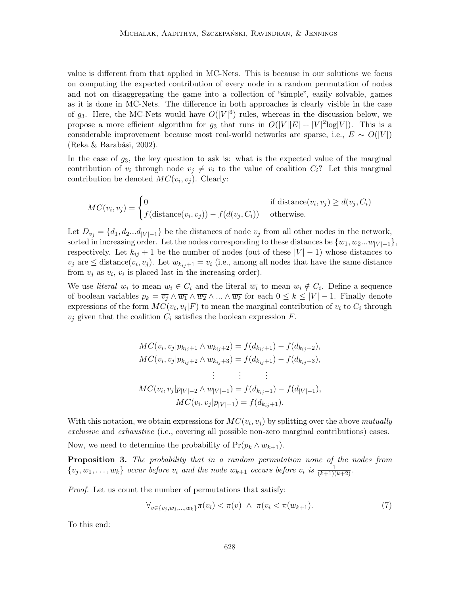value is different from that applied in MC-Nets. This is because in our solutions we focus on computing the expected contribution of every node in a random permutation of nodes and not on disaggregating the game into a collection of "simple", easily solvable, games as it is done in MC-Nets. The difference in both approaches is clearly visible in the case of  $g_3$ . Here, the MC-Nets would have  $O(|V|^3)$  rules, whereas in the discussion below, we propose a more efficient algorithm for  $g_3$  that runs in  $O(|V||E| + |V|^2 \log|V|)$ . This is a considerable improvement because most real-world networks are sparse, i.e.,  $E \sim O(|V|)$ (Reka & Barabási, 2002).

In the case of  $g_3$ , the key question to ask is: what is the expected value of the marginal contribution of  $v_i$  through node  $v_j \neq v_i$  to the value of coalition  $C_i$ ? Let this marginal contribution be denoted  $MC(v_i, v_j)$ . Clearly:

$$
MC(v_i, v_j) = \begin{cases} 0 & \text{if distance}(v_i, v_j) \ge d(v_j, C_i) \\ f(\text{distance}(v_i, v_j)) - f(d(v_j, C_i)) & \text{otherwise.} \end{cases}
$$

Let  $D_{v_i} = \{d_1, d_2...d_{|V|-1}\}\$  be the distances of node  $v_j$  from all other nodes in the network, sorted in increasing order. Let the nodes corresponding to these distances be  $\{w_1, w_2...w_{|V|-1}\},$ respectively. Let  $k_{ij} + 1$  be the number of nodes (out of these  $|V| - 1$ ) whose distances to  $v_j$  are  $\leq$  distance $(v_i, v_j)$ . Let  $w_{k_{ij}+1} = v_i$  (i.e., among all nodes that have the same distance from  $v_j$  as  $v_i$ ,  $v_i$  is placed last in the increasing order).

We use *literal*  $w_i$  to mean  $w_i \in C_i$  and the literal  $\overline{w_i}$  to mean  $w_i \notin C_i$ . Define a sequence of boolean variables  $p_k = \overline{v_j} \wedge \overline{w_1} \wedge \overline{w_2} \wedge ... \wedge \overline{w_k}$  for each  $0 \leq k \leq |V| - 1$ . Finally denote expressions of the form  $MC(v_i, v_j|F)$  to mean the marginal contribution of  $v_i$  to  $C_i$  through  $v_j$  given that the coalition  $C_i$  satisfies the boolean expression  $F$ .

$$
MC(v_i, v_j|p_{k_{ij}+1} \wedge w_{k_{ij}+2}) = f(d_{k_{ij}+1}) - f(d_{k_{ij}+2}),
$$
  
\n
$$
MC(v_i, v_j|p_{k_{ij}+2} \wedge w_{k_{ij}+3}) = f(d_{k_{ij}+1}) - f(d_{k_{ij}+3}),
$$
  
\n
$$
\vdots \qquad \vdots
$$
  
\n
$$
MC(v_i, v_j|p_{|V|-2} \wedge w_{|V|-1}) = f(d_{k_{ij}+1}) - f(d_{|V|-1}),
$$
  
\n
$$
MC(v_i, v_j|p_{|V|-1}) = f(d_{k_{ij}+1}).
$$

With this notation, we obtain expressions for  $MC(v_i, v_j)$  by splitting over the above mutually exclusive and exhaustive (i.e., covering all possible non-zero marginal contributions) cases.

Now, we need to determine the probability of  $Pr(p_k \wedge w_{k+1})$ .

Proposition 3. The probability that in a random permutation none of the nodes from  $\{v_j, w_1, \ldots, w_k\}$  occur before  $v_i$  and the node  $w_{k+1}$  occurs before  $v_i$  is  $\frac{1}{(k+1)(k+2)}$ .

Proof. Let us count the number of permutations that satisfy:

$$
\forall_{v \in \{v_j, w_1, \dots, w_k\}} \pi(v_i) < \pi(v) \land \pi(v_i < \pi(w_{k+1}). \tag{7}
$$

To this end: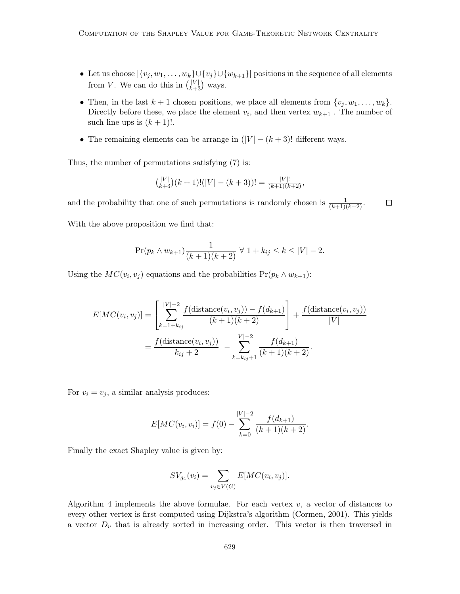- Let us choose  $|\{v_j, w_1, \ldots, w_k\} \cup \{v_j\} \cup \{w_{k+1}\}|$  positions in the sequence of all elements from V. We can do this in  $\binom{|V|}{k+1}$  $\binom{|V|}{k+3}$  ways.
- Then, in the last  $k + 1$  chosen positions, we place all elements from  $\{v_j, w_1, \ldots, w_k\}$ . Directly before these, we place the element  $v_i$ , and then vertex  $w_{k+1}$ . The number of such line-ups is  $(k + 1)!$ .
- The remaining elements can be arrange in  $(|V| (k+3)!$  different ways.

Thus, the number of permutations satisfying (7) is:

$$
{\binom{|V|}{k+3}(k+1)!(|V|-(k+3))!} = \frac{|V|!}{(k+1)(k+2)},
$$

and the probability that one of such permutations is randomly chosen is  $\frac{1}{(k+1)(k+2)}$ .  $\Box$ With the above proposition we find that:

$$
\Pr(p_k \wedge w_{k+1}) \frac{1}{(k+1)(k+2)} \ \forall \ 1 + k_{ij} \le k \le |V| - 2.
$$

Using the  $MC(v_i, v_j)$  equations and the probabilities  $Pr(p_k \wedge w_{k+1})$ :

$$
E[MC(v_i, v_j)] = \left[ \sum_{k=1+k_{ij}}^{|V|-2} \frac{f(\text{distance}(v_i, v_j)) - f(d_{k+1})}{(k+1)(k+2)} \right] + \frac{f(\text{distance}(v_i, v_j))}{|V|}
$$

$$
= \frac{f(\text{distance}(v_i, v_j))}{k_{ij} + 2} - \sum_{k=k_{ij}+1}^{|V|-2} \frac{f(d_{k+1})}{(k+1)(k+2)}.
$$

For  $v_i = v_j$ , a similar analysis produces:

$$
E[MC(v_i, v_i)] = f(0) - \sum_{k=0}^{|V|-2} \frac{f(d_{k+1})}{(k+1)(k+2)}.
$$

Finally the exact Shapley value is given by:

$$
SV_{g_4}(v_i) = \sum_{v_j \in V(G)} E[MC(v_i, v_j)].
$$

Algorithm 4 implements the above formulae. For each vertex  $v$ , a vector of distances to every other vertex is first computed using Dijkstra's algorithm (Cormen, 2001). This yields a vector  $D<sub>v</sub>$  that is already sorted in increasing order. This vector is then traversed in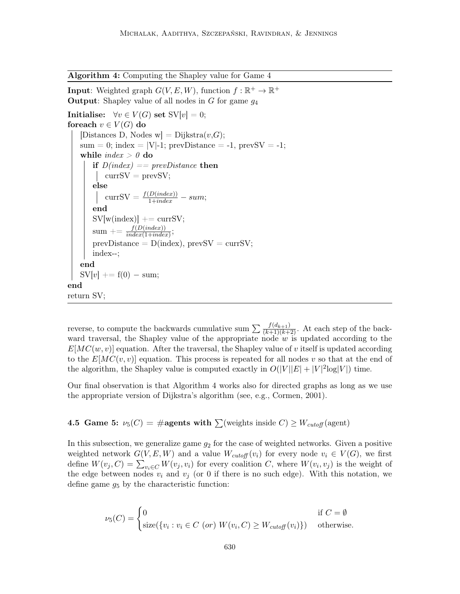Algorithm 4: Computing the Shapley value for Game 4

**Input**: Weighted graph  $G(V, E, W)$ , function  $f : \mathbb{R}^+ \to \mathbb{R}^+$ **Output:** Shapley value of all nodes in  $G$  for game  $g_4$ Initialise:  $\forall v \in V(G)$  set  $SV[v] = 0$ ; foreach  $v \in V(G)$  do [Distances D, Nodes w] = Dijkstra $(v,G)$ ;  $sum = 0$ ; index = |V|-1; prevDistance = -1, prevSV = -1; while  $\mathit{index} > 0$  do if  $D/index$  == prevDistance then  $\vert \quad \text{currSV} = \text{prevSV};$ else currSV =  $\frac{f(D(index))}{1+index}$  – sum; end  $SV[w(index)]$  += currSV;  $\mathrm{sum}\mathrel{+}= \frac{f(D(index))}{index(1+index)};$  $prevDistance = D/index), prevSV = currSV;$ index--; end  $SV[v] += f(0) - sum;$ end return SV;

reverse, to compute the backwards cumulative sum  $\sum \frac{f(d_{k+1})}{(k+1)(k+2)}$ . At each step of the backward traversal, the Shapley value of the appropriate node  $w$  is updated according to the  $E[MC(w, v)]$  equation. After the traversal, the Shapley value of v itself is updated according to the  $E[MC(v, v)]$  equation. This process is repeated for all nodes v so that at the end of the algorithm, the Shapley value is computed exactly in  $O(|V||E| + |V|^2 \log|V|)$  time.

Our final observation is that Algorithm 4 works also for directed graphs as long as we use the appropriate version of Dijkstra's algorithm (see, e.g., Cormen, 2001).

**4.5 Game 5:**  $\nu_5(C) = \text{\#agents with } \sum(\text{weights inside } C) \geq W_{\text{cutoff}}(\text{agent})$ 

In this subsection, we generalize game  $g_2$  for the case of weighted networks. Given a positive weighted network  $G(V, E, W)$  and a value  $W_{cutoff}(v_i)$  for every node  $v_i \in V(G)$ , we first define  $W(v_j, C) = \sum_{v_i \in C} W(v_j, v_i)$  for every coalition C, where  $W(v_i, v_j)$  is the weight of the edge between nodes  $v_i$  and  $v_j$  (or 0 if there is no such edge). With this notation, we define game  $g_5$  by the characteristic function:

$$
\nu_5(C) = \begin{cases} 0 & \text{if } C = \emptyset \\ \text{size}(\{v_i : v_i \in C \text{ (or) } W(v_i, C) \ge W_{cutoff}(v_i)\}) & \text{otherwise.} \end{cases}
$$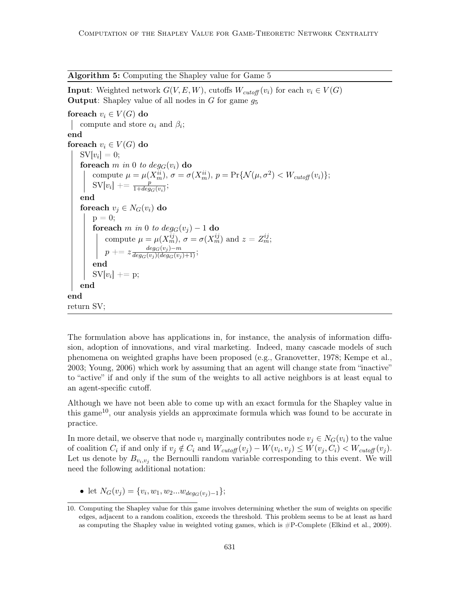Algorithm 5: Computing the Shapley value for Game 5

**Input**: Weighted network  $G(V, E, W)$ , cutoffs  $W_{cutoff}(v_i)$  for each  $v_i \in V(G)$ **Output:** Shapley value of all nodes in  $G$  for game  $g_5$ 

foreach  $v_i \in V(G)$  do compute and store  $\alpha_i$  and  $\beta_i$ ; end foreach  $v_i \in V(G)$  do  $\mathrm{SV}[v_i] = 0;$ foreach m in 0 to  $deg_G(v_i)$  do compute  $\mu = \mu(X_m^{ii}), \sigma = \sigma(X_m^{ii}), p = \Pr\{\mathcal{N}(\mu, \sigma^2) < W_{cutoff}(v_i)\};$  $\text{SV}[v_i] \mathrel{+}= \frac{p}{1+deg_G(v_i)}$ end foreach  $v_j \in N_G(v_i)$  do  $p = 0$ ; foreach m in 0 to  $deg_G(v_i) - 1$  do compute  $\mu = \mu(X_m^{ij}), \sigma = \sigma(X_m^{ij})$  and  $z = Z_m^{ij}$ ;  $p \mathrel{+}= z \frac{deg_{G}(v_{j})-m}{deg_{G}(v_{j})(deg_{G}(v_{j})+1)};$ end  $SV[v_i] += p;$ end end return SV;

The formulation above has applications in, for instance, the analysis of information diffusion, adoption of innovations, and viral marketing. Indeed, many cascade models of such phenomena on weighted graphs have been proposed (e.g., Granovetter, 1978; Kempe et al., 2003; Young, 2006) which work by assuming that an agent will change state from "inactive" to "active" if and only if the sum of the weights to all active neighbors is at least equal to an agent-specific cutoff.

Although we have not been able to come up with an exact formula for the Shapley value in this game<sup>10</sup>, our analysis yields an approximate formula which was found to be accurate in practice.

In more detail, we observe that node  $v_i$  marginally contributes node  $v_j \in N_G(v_i)$  to the value of coalition  $C_i$  if and only if  $v_j \notin C_i$  and  $W_{cutoff}(v_j) - W(v_i, v_j) \leq W(v_j, C_i) < W_{cutoff}(v_j)$ . Let us denote by  $B_{v_i,v_j}$  the Bernoulli random variable corresponding to this event. We will need the following additional notation:

• let  $N_G(v_j) = \{v_i, w_1, w_2...w_{deg_G(v_j)-1}\};$ 

<sup>10.</sup> Computing the Shapley value for this game involves determining whether the sum of weights on specific edges, adjacent to a random coalition, exceeds the threshold. This problem seems to be at least as hard as computing the Shapley value in weighted voting games, which is  $\#P$ -Complete (Elkind et al., 2009).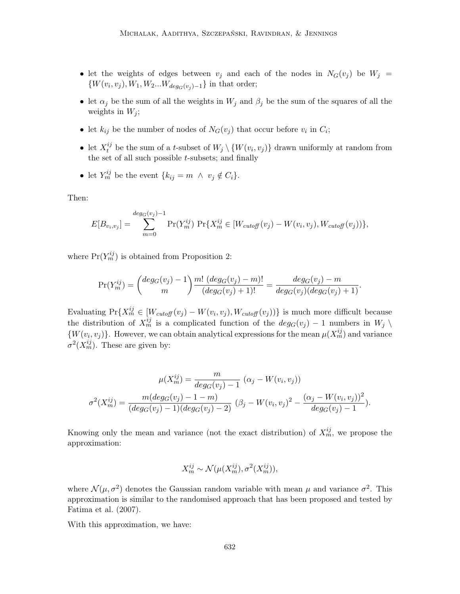- let the weights of edges between  $v_j$  and each of the nodes in  $N_G(v_j)$  be  $W_j =$  $\{W(v_i, v_j), W_1, W_2...W_{deg_G(v_j)-1}\}\$ in that order;
- let  $\alpha_j$  be the sum of all the weights in  $W_j$  and  $\beta_j$  be the sum of the squares of all the weights in  $W_i$ ;
- let  $k_{ij}$  be the number of nodes of  $N_G(v_j)$  that occur before  $v_i$  in  $C_i$ ;
- let  $X_t^{ij}$  be the sum of a t-subset of  $W_j \setminus \{W(v_i, v_j)\}$  drawn uniformly at random from the set of all such possible  $t$ -subsets; and finally
- let  $Y_m^{ij}$  be the event  $\{k_{ij} = m \land v_j \notin C_i\}.$

Then:

$$
E[B_{v_i,v_j}] = \sum_{m=0}^{deg_G(v_j)-1} \Pr(Y_m^{ij}) \Pr\{X_m^{ij} \in [W_{cutoff}(v_j) - W(v_i,v_j), W_{cutoff}(v_j))\},
$$

where  $Pr(Y_m^{ij})$  is obtained from Proposition 2:

$$
\Pr(Y_m^{ij}) = {deg_G(v_j) - 1 \choose m} \frac{m! (deg_G(v_j) - m)!}{(deg_G(v_j) + 1)!} = \frac{deg_G(v_j) - m}{deg_G(v_j)(deg_G(v_j) + 1)}.
$$

Evaluating  $Pr{X_m^{ij} \in [W_{cutoff}(v_j) - W(v_i, v_j), W_{cutoff}(v_j))\}$  is much more difficult because the distribution of  $X_m^{ij}$  is a complicated function of the  $deg_G(v_j) - 1$  numbers in  $W_j \setminus$  $\{W(v_i, v_j)\}\$ . However, we can obtain analytical expressions for the mean  $\mu(X_m^{ij})$  and variance  $\sigma^2(X_m^{ij})$ . These are given by:

$$
\mu(X_m^{ij}) = \frac{m}{deg_G(v_j) - 1} (\alpha_j - W(v_i, v_j))
$$

$$
\sigma^2(X_m^{ij}) = \frac{m(deg_G(v_j) - 1 - m)}{(deg_G(v_j) - 1)(deg_G(v_j) - 2)} (\beta_j - W(v_i, v_j))^2 - \frac{(\alpha_j - W(v_i, v_j))^2}{deg_G(v_j) - 1}).
$$

Knowing only the mean and variance (not the exact distribution) of  $X_m^{ij}$ , we propose the approximation:

$$
X_m^{ij} \sim \mathcal{N}(\mu(X_m^{ij}), \sigma^2(X_m^{ij})),
$$

where  $\mathcal{N}(\mu, \sigma^2)$  denotes the Gaussian random variable with mean  $\mu$  and variance  $\sigma^2$ . This approximation is similar to the randomised approach that has been proposed and tested by Fatima et al. (2007).

With this approximation, we have: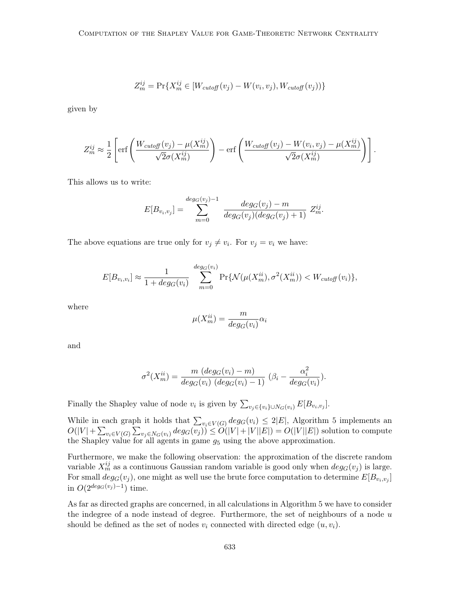$$
Z_m^{ij} = \Pr\{X_m^{ij} \in [W_{cutoff}(v_j) - W(v_i, v_j), W_{cutoff}(v_j))\}
$$

given by

$$
Z_m^{ij} \approx \frac{1}{2} \left[ \text{erf}\left(\frac{W_{cutoff}(v_j) - \mu(X_m^{ij})}{\sqrt{2}\sigma(X_m^{ij})}\right) - \text{erf}\left(\frac{W_{cutoff}(v_j) - W(v_i, v_j) - \mu(X_m^{ij})}{\sqrt{2}\sigma(X_m^{ij})}\right) \right].
$$

This allows us to write:

$$
E[B_{v_i,v_j}] = \sum_{m=0}^{deg_G(v_j)-1} \frac{deg_G(v_j)-m}{deg_G(v_j)(deg_G(v_j)+1)} Z_m^{ij}.
$$

The above equations are true only for  $v_j \neq v_i$ . For  $v_j = v_i$  we have:

$$
E[B_{v_i,v_i}] \approx \frac{1}{1 + deg_G(v_i)} \sum_{m=0}^{deg_G(v_i)} \Pr{\mathcal{N}(\mu(X_m^{ii}), \sigma^2(X_m^{ii}))} < W_{cutoff}(v_i)\},
$$

where

$$
\mu(X_m^{ii}) = \frac{m}{deg_G(v_i)}\alpha_i
$$

and

$$
\sigma^{2}(X_{m}^{ii}) = \frac{m (deg_G(v_i) - m)}{deg_G(v_i) (deg_G(v_i) - 1)} (\beta_i - \frac{\alpha_i^{2}}{deg_G(v_i)}).
$$

Finally the Shapley value of node  $v_i$  is given by  $\sum_{v_j \in \{v_i\} \cup N_G(v_i)} E[B_{v_i, v_j}]$ .

While in each graph it holds that  $\sum_{v_i \in V(G)} deg_G(v_i) \leq 2|E|$ , Algorithm 5 implements an  $O(|V| + \sum_{v_i \in V(G)} \sum_{v_j \in N_G(v_i)} deg_G(v_j)) \leq O(|V| + |V||E|) = O(|V||E|)$  solution to compute the Shapley value for all agents in game  $g_5$  using the above approximation.

Furthermore, we make the following observation: the approximation of the discrete random variable  $X_m^{ij}$  as a continuous Gaussian random variable is good only when  $deg_G(v_j)$  is large. For small  $deg_G(v_j)$ , one might as well use the brute force computation to determine  $E[B_{v_i,v_j}]$ in  $O(2^{\deg(G(v_j)-1})$  time.

As far as directed graphs are concerned, in all calculations in Algorithm 5 we have to consider the indegree of a node instead of degree. Furthermore, the set of neighbours of a node  $u$ should be defined as the set of nodes  $v_i$  connected with directed edge  $(u, v_i)$ .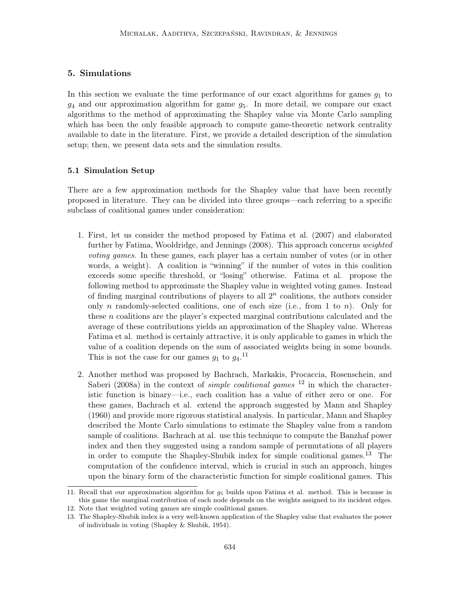## 5. Simulations

In this section we evaluate the time performance of our exact algorithms for games  $g_1$  to  $q_4$  and our approximation algorithm for game  $q_5$ . In more detail, we compare our exact algorithms to the method of approximating the Shapley value via Monte Carlo sampling which has been the only feasible approach to compute game-theoretic network centrality available to date in the literature. First, we provide a detailed description of the simulation setup; then, we present data sets and the simulation results.

#### 5.1 Simulation Setup

There are a few approximation methods for the Shapley value that have been recently proposed in literature. They can be divided into three groups—each referring to a specific subclass of coalitional games under consideration:

- 1. First, let us consider the method proposed by Fatima et al. (2007) and elaborated further by Fatima, Wooldridge, and Jennings (2008). This approach concerns *weighted* voting games. In these games, each player has a certain number of votes (or in other words, a weight). A coalition is "winning" if the number of votes in this coalition exceeds some specific threshold, or "losing" otherwise. Fatima et al. propose the following method to approximate the Shapley value in weighted voting games. Instead of finding marginal contributions of players to all  $2<sup>n</sup>$  coalitions, the authors consider only n randomly-selected coalitions, one of each size (i.e., from 1 to n). Only for these n coalitions are the player's expected marginal contributions calculated and the average of these contributions yields an approximation of the Shapley value. Whereas Fatima et al. method is certainly attractive, it is only applicable to games in which the value of a coalition depends on the sum of associated weights being in some bounds. This is not the case for our games  $g_1$  to  $g_4$ .<sup>11</sup>
- 2. Another method was proposed by Bachrach, Markakis, Procaccia, Rosenschein, and Saberi (2008a) in the context of *simple coalitional games*  $12$  in which the characteristic function is binary—i.e., each coalition has a value of either zero or one. For these games, Bachrach et al. extend the approach suggested by Mann and Shapley (1960) and provide more rigorous statistical analysis. In particular, Mann and Shapley described the Monte Carlo simulations to estimate the Shapley value from a random sample of coalitions. Bachrach at al. use this technique to compute the Banzhaf power index and then they suggested using a random sample of permutations of all players in order to compute the Shapley-Shubik index for simple coalitional games.<sup>13</sup> The computation of the confidence interval, which is crucial in such an approach, hinges upon the binary form of the characteristic function for simple coalitional games. This

<sup>11.</sup> Recall that our approximation algorithm for  $g<sub>5</sub>$  builds upon Fatima et al. method. This is because in this game the marginal contribution of each node depends on the weights assigned to its incident edges.

<sup>12.</sup> Note that weighted voting games are simple coalitional games.

<sup>13.</sup> The Shapley-Shubik index is a very well-known application of the Shapley value that evaluates the power of individuals in voting (Shapley & Shubik, 1954).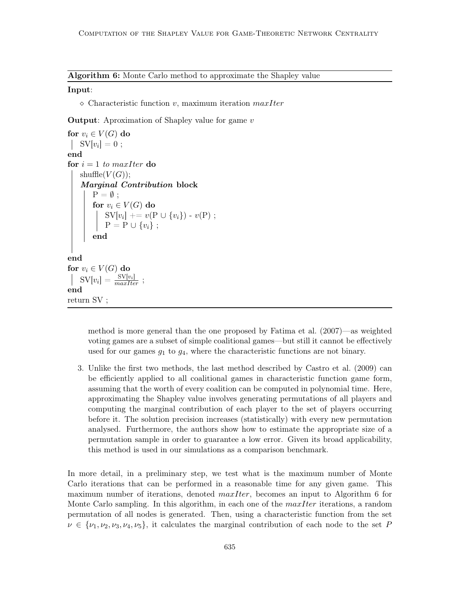Algorithm 6: Monte Carlo method to approximate the Shapley value

#### Input:

 $\Diamond$  Characteristic function v, maximum iteration maxIter

**Output:** Aproximation of Shapley value for game  $v$ 

```
for v_i \in V(G) do
    \mathrm{SV}[v_i] = 0 ;
end
for i = 1 to maxIter do
   shuffle(V(G));
    Marginal Contribution block
        P = \emptyset:
        for v_i \in V(G) do
            SV[v_i] += v(P \cup \{v_i\}) - v(P);
            P = P \cup \{v_i\};
        end
end
for v_i \in V(G) do
    SV[v_i] = \frac{SV[v_i]}{maxIter};
end
return SV ;
```
method is more general than the one proposed by Fatima et al. (2007)—as weighted voting games are a subset of simple coalitional games—but still it cannot be effectively used for our games  $g_1$  to  $g_4$ , where the characteristic functions are not binary.

3. Unlike the first two methods, the last method described by Castro et al. (2009) can be efficiently applied to all coalitional games in characteristic function game form, assuming that the worth of every coalition can be computed in polynomial time. Here, approximating the Shapley value involves generating permutations of all players and computing the marginal contribution of each player to the set of players occurring before it. The solution precision increases (statistically) with every new permutation analysed. Furthermore, the authors show how to estimate the appropriate size of a permutation sample in order to guarantee a low error. Given its broad applicability, this method is used in our simulations as a comparison benchmark.

In more detail, in a preliminary step, we test what is the maximum number of Monte Carlo iterations that can be performed in a reasonable time for any given game. This maximum number of iterations, denoted *maxIter*, becomes an input to Algorithm 6 for Monte Carlo sampling. In this algorithm, in each one of the  $maxIter$  iterations, a random permutation of all nodes is generated. Then, using a characteristic function from the set  $\nu \in \{\nu_1, \nu_2, \nu_3, \nu_4, \nu_5\},\$ it calculates the marginal contribution of each node to the set P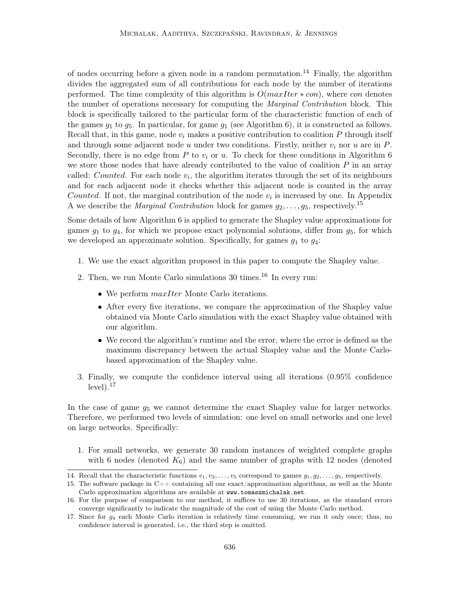of nodes occurring before a given node in a random permutation.<sup>14</sup> Finally, the algorithm divides the aggregated sum of all contributions for each node by the number of iterations performed. The time complexity of this algorithm is  $O(maxIter * con)$ , where con denotes the number of operations necessary for computing the *Marginal Contribution* block. This block is specifically tailored to the particular form of the characteristic function of each of the games  $g_1$  to  $g_5$ . In particular, for game  $g_1$  (see Algorithm 6), it is constructed as follows. Recall that, in this game, node  $v_i$  makes a positive contribution to coalition P through itself and through some adjacent node u under two conditions. Firstly, neither  $v_i$  nor u are in P. Secondly, there is no edge from P to  $v_i$  or u. To check for these conditions in Algorithm 6 we store those nodes that have already contributed to the value of coalition  $P$  in an array called: *Counted*. For each node  $v_i$ , the algorithm iterates through the set of its neighbours and for each adjacent node it checks whether this adjacent node is counted in the array Counted. If not, the marginal contribution of the node  $v_i$  is increased by one. In Appendix A we describe the *Marginal Contribution* block for games  $g_2, \ldots, g_5$ , respectively.<sup>15</sup>

Some details of how Algorithm 6 is applied to generate the Shapley value approximations for games  $g_1$  to  $g_4$ , for which we propose exact polynomial solutions, differ from  $g_5$ , for which we developed an approximate solution. Specifically, for games  $g_1$  to  $g_4$ :

- 1. We use the exact algorithm proposed in this paper to compute the Shapley value.
- 2. Then, we run Monte Carlo simulations  $30 \text{ times}$ .<sup>16</sup> In every run:
	- We perform  $maxIter$  Monte Carlo iterations.
	- After every five iterations, we compare the approximation of the Shapley value obtained via Monte Carlo simulation with the exact Shapley value obtained with our algorithm.
	- We record the algorithm's runtime and the error, where the error is defined as the maximum discrepancy between the actual Shapley value and the Monte Carlobased approximation of the Shapley value.
- 3. Finally, we compute the confidence interval using all iterations (0.95% confidence  $level).<sup>17</sup>$

In the case of game  $g_5$  we cannot determine the exact Shapley value for larger networks. Therefore, we performed two levels of simulation: one level on small networks and one level on large networks. Specifically:

1. For small networks, we generate 30 random instances of weighted complete graphs with 6 nodes (denoted  $K_6$ ) and the same number of graphs with 12 nodes (denoted

<sup>14.</sup> Recall that the characteristic functions  $v_1, v_2, \ldots, v_5$  correspond to games  $g_1, g_2, \ldots, g_5$ , respectively.

<sup>15.</sup> The software package in C++ containing all our exact/approximation algorithms, as well as the Monte Carlo approximation algorithms are available at www.tomaszmichalak.net.

<sup>16.</sup> For the purpose of comparison to our method, it suffices to use 30 iterations, as the standard errors converge significantly to indicate the magnitude of the cost of using the Monte Carlo method.

<sup>17.</sup> Since for g<sup>4</sup> each Monte Carlo iteration is relatively time consuming, we run it only once; thus, no confidence interval is generated, i.e., the third step is omitted.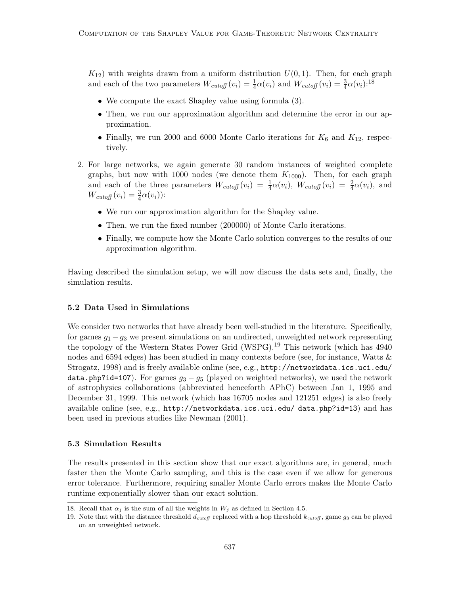$K_{12}$ ) with weights drawn from a uniform distribution  $U(0, 1)$ . Then, for each graph and each of the two parameters  $W_{cutoff}(v_i) = \frac{1}{4}\alpha(v_i)$  and  $W_{cutoff}(v_i) = \frac{3}{4}\alpha(v_i)$ :<sup>18</sup>

- We compute the exact Shapley value using formula (3).
- Then, we run our approximation algorithm and determine the error in our approximation.
- Finally, we run 2000 and 6000 Monte Carlo iterations for  $K_6$  and  $K_{12}$ , respectively.
- 2. For large networks, we again generate 30 random instances of weighted complete graphs, but now with 1000 nodes (we denote them  $K_{1000}$ ). Then, for each graph and each of the three parameters  $W_{cutoff}(v_i) = \frac{1}{4}\alpha(v_i)$ ,  $W_{cutoff}(v_i) = \frac{2}{4}\alpha(v_i)$ , and  $W_{cutoff}(v_i) = \frac{3}{4}\alpha(v_i)$ :
	- We run our approximation algorithm for the Shapley value.
	- Then, we run the fixed number (200000) of Monte Carlo iterations.
	- Finally, we compute how the Monte Carlo solution converges to the results of our approximation algorithm.

Having described the simulation setup, we will now discuss the data sets and, finally, the simulation results.

#### 5.2 Data Used in Simulations

We consider two networks that have already been well-studied in the literature. Specifically, for games  $g_1 - g_3$  we present simulations on an undirected, unweighted network representing the topology of the Western States Power Grid  $(WSPG)$ <sup>19</sup> This network (which has 4940) nodes and 6594 edges) has been studied in many contexts before (see, for instance, Watts & Strogatz, 1998) and is freely available online (see, e.g., http://networkdata.ics.uci.edu/ data.php?id=107). For games  $g_3 - g_5$  (played on weighted networks), we used the network of astrophysics collaborations (abbreviated henceforth APhC) between Jan 1, 1995 and December 31, 1999. This network (which has 16705 nodes and 121251 edges) is also freely available online (see, e.g., http://networkdata.ics.uci.edu/ data.php?id=13) and has been used in previous studies like Newman (2001).

#### 5.3 Simulation Results

The results presented in this section show that our exact algorithms are, in general, much faster then the Monte Carlo sampling, and this is the case even if we allow for generous error tolerance. Furthermore, requiring smaller Monte Carlo errors makes the Monte Carlo runtime exponentially slower than our exact solution.

<sup>18.</sup> Recall that  $\alpha_i$  is the sum of all the weights in  $W_i$  as defined in Section 4.5.

<sup>19.</sup> Note that with the distance threshold  $d_{cutoff}$  replaced with a hop threshold  $k_{cutoff}$ , game  $g_3$  can be played on an unweighted network.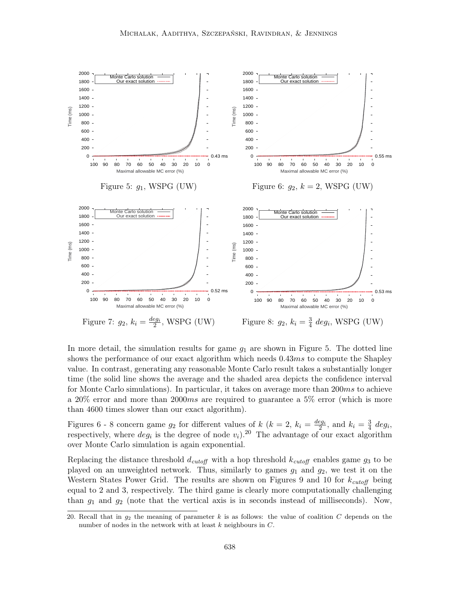

In more detail, the simulation results for game  $q_1$  are shown in Figure 5. The dotted line shows the performance of our exact algorithm which needs  $0.43ms$  to compute the Shapley value. In contrast, generating any reasonable Monte Carlo result takes a substantially longer time (the solid line shows the average and the shaded area depicts the confidence interval for Monte Carlo simulations). In particular, it takes on average more than 200ms to achieve a 20% error and more than 2000ms are required to guarantee a 5% error (which is more than 4600 times slower than our exact algorithm).

Figures 6 - 8 concern game  $g_2$  for different values of k ( $k = 2$ ,  $k_i = \frac{deg_i}{2}$ , and  $k_i = \frac{3}{4}$  $rac{3}{4}$  deg<sub>i</sub>, respectively, where  $deg_i$  is the degree of node  $v_i$ ).<sup>20</sup> The advantage of our exact algorithm over Monte Carlo simulation is again exponential.

Replacing the distance threshold  $d_{cutoff}$  with a hop threshold  $k_{cutoff}$  enables game  $g_3$  to be played on an unweighted network. Thus, similarly to games  $g_1$  and  $g_2$ , we test it on the Western States Power Grid. The results are shown on Figures 9 and 10 for  $k_{cutoff}$  being equal to 2 and 3, respectively. The third game is clearly more computationally challenging than  $q_1$  and  $q_2$  (note that the vertical axis is in seconds instead of milliseconds). Now,

<sup>20.</sup> Recall that in  $g_2$  the meaning of parameter k is as follows: the value of coalition C depends on the number of nodes in the network with at least k neighbours in C.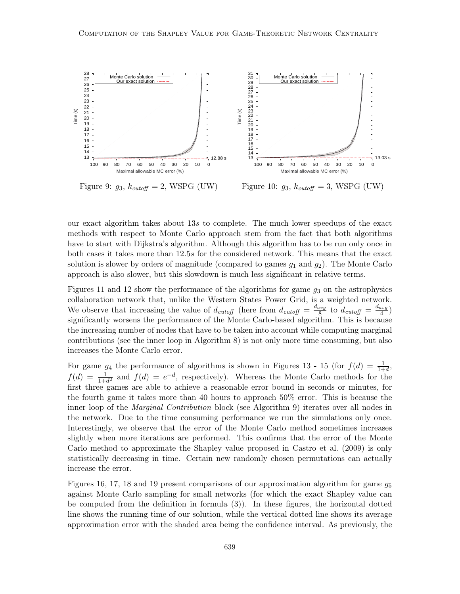

Figure 9:  $g_3$ ,  $k_{\text{cutoff}} = 2$ , WSPG (UW)

Figure 10:  $g_3$ ,  $k_{\text{cutoff}} = 3$ , WSPG (UW)

our exact algorithm takes about 13s to complete. The much lower speedups of the exact methods with respect to Monte Carlo approach stem from the fact that both algorithms have to start with Dijkstra's algorithm. Although this algorithm has to be run only once in both cases it takes more than 12.5s for the considered network. This means that the exact solution is slower by orders of magnitude (compared to games  $g_1$  and  $g_2$ ). The Monte Carlo approach is also slower, but this slowdown is much less significant in relative terms.

Figures 11 and 12 show the performance of the algorithms for game  $q_3$  on the astrophysics collaboration network that, unlike the Western States Power Grid, is a weighted network. We observe that increasing the value of  $d_{cutoff}$  (here from  $d_{cutoff} = \frac{d_{avg}}{8}$  $\frac{1}{8}$  to  $d_{cutoff} = \frac{d_{avg}}{4}$  $\frac{avg}{4}$ significantly worsens the performance of the Monte Carlo-based algorithm. This is because the increasing number of nodes that have to be taken into account while computing marginal contributions (see the inner loop in Algorithm 8) is not only more time consuming, but also increases the Monte Carlo error.

For game  $g_4$  the performance of algorithms is shown in Figures 13 - 15 (for  $f(d) = \frac{1}{1+d}$ ,  $f(d) = \frac{1}{1+d^2}$  and  $f(d) = e^{-d}$ , respectively). Whereas the Monte Carlo methods for the first three games are able to achieve a reasonable error bound in seconds or minutes, for the fourth game it takes more than 40 hours to approach 50% error. This is because the inner loop of the *Marginal Contribution* block (see Algorithm 9) iterates over all nodes in the network. Due to the time consuming performance we run the simulations only once. Interestingly, we observe that the error of the Monte Carlo method sometimes increases slightly when more iterations are performed. This confirms that the error of the Monte Carlo method to approximate the Shapley value proposed in Castro et al. (2009) is only statistically decreasing in time. Certain new randomly chosen permutations can actually increase the error.

Figures 16, 17, 18 and 19 present comparisons of our approximation algorithm for game  $q_5$ against Monte Carlo sampling for small networks (for which the exact Shapley value can be computed from the definition in formula (3)). In these figures, the horizontal dotted line shows the running time of our solution, while the vertical dotted line shows its average approximation error with the shaded area being the confidence interval. As previously, the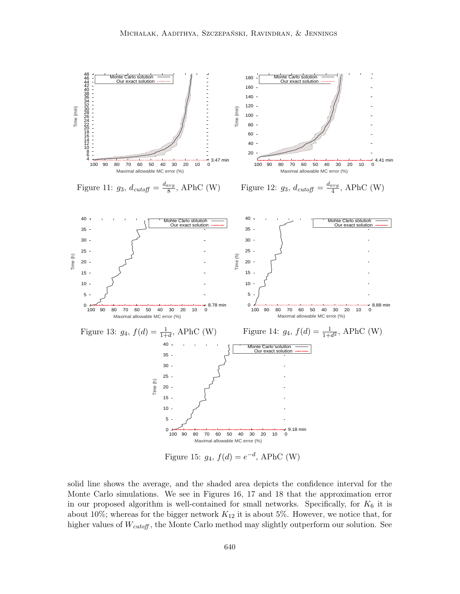

solid line shows the average, and the shaded area depicts the confidence interval for the Monte Carlo simulations. We see in Figures 16, 17 and 18 that the approximation error in our proposed algorithm is well-contained for small networks. Specifically, for  $K_6$  it is about 10%; whereas for the bigger network  $K_{12}$  it is about 5%. However, we notice that, for higher values of  $W_{cutoff}$ , the Monte Carlo method may slightly outperform our solution. See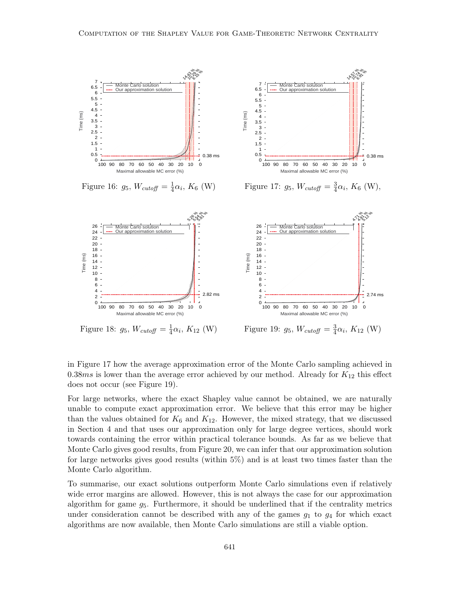

Figure 18:  $g_5$ ,  $W_{cutoff} = \frac{1}{4}$  $\frac{1}{4}\alpha_i, K_{12} \text{ (W)}$ 

Figure 19:  $g_5$ ,  $W_{cutoff} = \frac{3}{4}$  $\frac{3}{4}\alpha_i, K_{12}$  (W)

in Figure 17 how the average approximation error of the Monte Carlo sampling achieved in 0.38ms is lower than the average error achieved by our method. Already for  $K_{12}$  this effect does not occur (see Figure 19).

For large networks, where the exact Shapley value cannot be obtained, we are naturally unable to compute exact approximation error. We believe that this error may be higher than the values obtained for  $K_6$  and  $K_{12}$ . However, the mixed strategy, that we discussed in Section 4 and that uses our approximation only for large degree vertices, should work towards containing the error within practical tolerance bounds. As far as we believe that Monte Carlo gives good results, from Figure 20, we can infer that our approximation solution for large networks gives good results (within 5%) and is at least two times faster than the Monte Carlo algorithm.

To summarise, our exact solutions outperform Monte Carlo simulations even if relatively wide error margins are allowed. However, this is not always the case for our approximation algorithm for game  $g_5$ . Furthermore, it should be underlined that if the centrality metrics under consideration cannot be described with any of the games  $g_1$  to  $g_4$  for which exact algorithms are now available, then Monte Carlo simulations are still a viable option.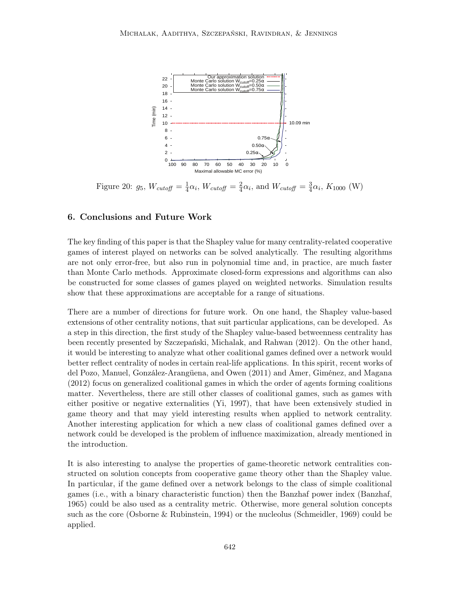

Figure 20:  $g_5$ ,  $W_{cutoff} = \frac{1}{4}$  $\frac{1}{4}\alpha_i$ ,  $W_{cutoff} = \frac{2}{4}$  $\frac{2}{4}\alpha_i$ , and  $W_{cutoff} = \frac{3}{4}$  $\frac{3}{4}\alpha_i$ ,  $K_{1000}$  (W)

## 6. Conclusions and Future Work

The key finding of this paper is that the Shapley value for many centrality-related cooperative games of interest played on networks can be solved analytically. The resulting algorithms are not only error-free, but also run in polynomial time and, in practice, are much faster than Monte Carlo methods. Approximate closed-form expressions and algorithms can also be constructed for some classes of games played on weighted networks. Simulation results show that these approximations are acceptable for a range of situations.

There are a number of directions for future work. On one hand, the Shapley value-based extensions of other centrality notions, that suit particular applications, can be developed. As a step in this direction, the first study of the Shapley value-based betweenness centrality has been recently presented by Szczepański, Michalak, and Rahwan (2012). On the other hand, it would be interesting to analyze what other coalitional games defined over a network would better reflect centrality of nodes in certain real-life applications. In this spirit, recent works of del Pozo, Manuel, González-Arangüena, and Owen (2011) and Amer, Giménez, and Magana (2012) focus on generalized coalitional games in which the order of agents forming coalitions matter. Nevertheless, there are still other classes of coalitional games, such as games with either positive or negative externalities (Yi, 1997), that have been extensively studied in game theory and that may yield interesting results when applied to network centrality. Another interesting application for which a new class of coalitional games defined over a network could be developed is the problem of influence maximization, already mentioned in the introduction.

It is also interesting to analyse the properties of game-theoretic network centralities constructed on solution concepts from cooperative game theory other than the Shapley value. In particular, if the game defined over a network belongs to the class of simple coalitional games (i.e., with a binary characteristic function) then the Banzhaf power index (Banzhaf, 1965) could be also used as a centrality metric. Otherwise, more general solution concepts such as the core (Osborne & Rubinstein, 1994) or the nucleolus (Schmeidler, 1969) could be applied.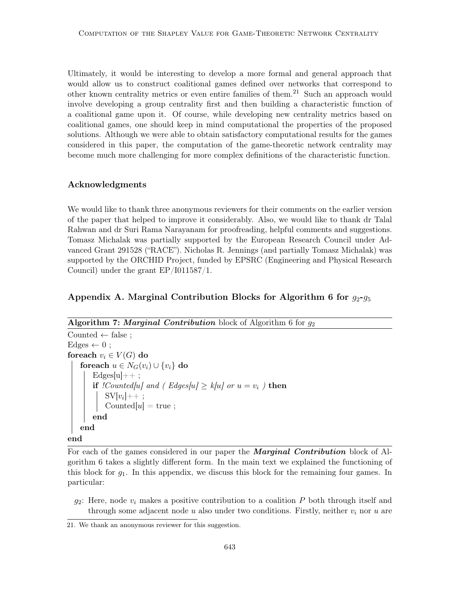Ultimately, it would be interesting to develop a more formal and general approach that would allow us to construct coalitional games defined over networks that correspond to other known centrality metrics or even entire families of them.<sup>21</sup> Such an approach would involve developing a group centrality first and then building a characteristic function of a coalitional game upon it. Of course, while developing new centrality metrics based on coalitional games, one should keep in mind computational the properties of the proposed solutions. Although we were able to obtain satisfactory computational results for the games considered in this paper, the computation of the game-theoretic network centrality may become much more challenging for more complex definitions of the characteristic function.

## Acknowledgments

We would like to thank three anonymous reviewers for their comments on the earlier version of the paper that helped to improve it considerably. Also, we would like to thank dr Talal Rahwan and dr Suri Rama Narayanam for proofreading, helpful comments and suggestions. Tomasz Michalak was partially supported by the European Research Council under Advanced Grant 291528 ("RACE"). Nicholas R. Jennings (and partially Tomasz Michalak) was supported by the ORCHID Project, funded by EPSRC (Engineering and Physical Research Council) under the grant EP/I011587/1.

## Appendix A. Marginal Contribution Blocks for Algorithm 6 for  $q_2-q_5$

#### Algorithm 7: Marginal Contribution block of Algorithm 6 for  $g_2$

```
Counted \leftarrow false ;
Edges \leftarrow 0;
foreach v_i \in V(G) do
   foreach u \in N_G(v_i) \cup \{v_i\} do
       Edges|u|++;
       if !Counted[u] and ( Edges[u] \geq k[u] or u = v_i ) then
            SV[v_i]++;Counted[u] = true;
       end
   end
```
#### end

For each of the games considered in our paper the **Marginal Contribution** block of Algorithm 6 takes a slightly different form. In the main text we explained the functioning of this block for  $g_1$ . In this appendix, we discuss this block for the remaining four games. In particular:

 $g_2$ : Here, node  $v_i$  makes a positive contribution to a coalition P both through itself and through some adjacent node u also under two conditions. Firstly, neither  $v_i$  nor u are

<sup>21.</sup> We thank an anonymous reviewer for this suggestion.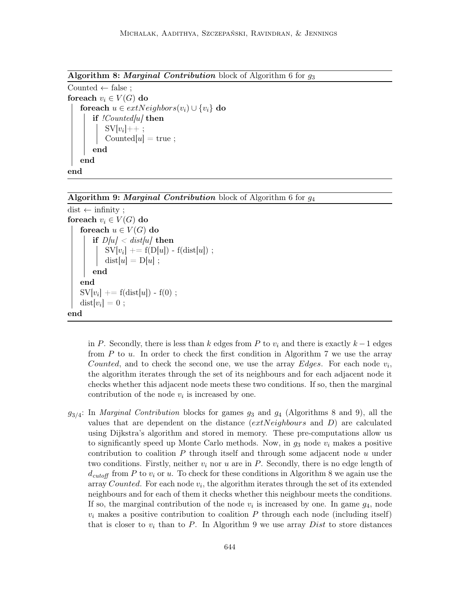Algorithm 8: Marginal Contribution block of Algorithm 6 for  $g_3$ 

Counted  $\leftarrow$  false; foreach  $v_i \in V(G)$  do foreach  $u \in extNeighbors(v_i) \cup \{v_i\}$  do if  $! Counted/u$  then  $SV[v_i]++;$ Counted $[u] = \text{true}$ ; end end end

Algorithm 9: Marginal Contribution block of Algorithm 6 for  $g_4$ 

```
dist \leftarrow infinity;
foreach v_i \in V(G) do
     foreach u \in V(G) do
           if D/u < dist/u/ then
                  \mathrm{SV}[v_i] \mathrel{+}= \mathrm{f}(\mathrm{D}[u]) - \mathrm{f}(\mathrm{dist}[u]) ;
                  dist[u] = D[u];
           end
     end
      \mathrm{SV}[v_i] \mathrel{+}= \mathrm{f}(\mathrm{dist}[u]) - \mathrm{f}(0) ;
      \mathrm{dist}[v_i]=0 ;
end
```
in P. Secondly, there is less than k edges from P to  $v_i$  and there is exactly  $k-1$  edges from  $P$  to  $u$ . In order to check the first condition in Algorithm 7 we use the array Counted, and to check the second one, we use the array Edges. For each node  $v_i$ , the algorithm iterates through the set of its neighbours and for each adjacent node it checks whether this adjacent node meets these two conditions. If so, then the marginal contribution of the node  $v_i$  is increased by one.

 $g_{3/4}$ : In *Marginal Contribution* blocks for games  $g_3$  and  $g_4$  (Algorithms 8 and 9), all the values that are dependent on the distance (extNeighbours and D) are calculated using Dijkstra's algorithm and stored in memory. These pre-computations allow us to significantly speed up Monte Carlo methods. Now, in  $g_3$  node  $v_i$  makes a positive contribution to coalition  $P$  through itself and through some adjacent node  $u$  under two conditions. Firstly, neither  $v_i$  nor u are in P. Secondly, there is no edge length of  $d_{cutoff}$  from P to  $v_i$  or u. To check for these conditions in Algorithm 8 we again use the array Counted. For each node  $v_i$ , the algorithm iterates through the set of its extended neighbours and for each of them it checks whether this neighbour meets the conditions. If so, the marginal contribution of the node  $v_i$  is increased by one. In game  $g_4$ , node  $v_i$  makes a positive contribution to coalition P through each node (including itself) that is closer to  $v_i$  than to P. In Algorithm 9 we use array Dist to store distances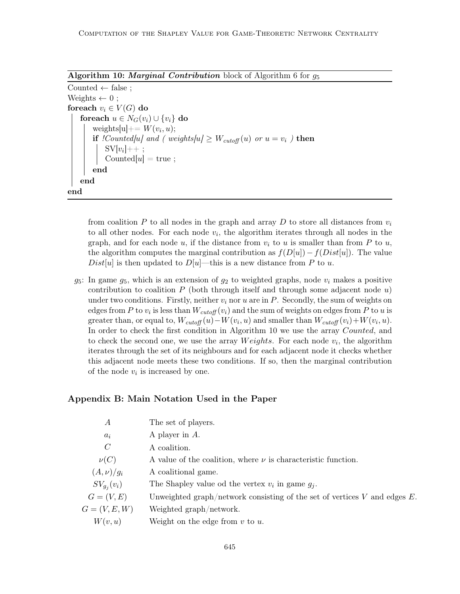Algorithm 10: *Marginal Contribution* block of Algorithm 6 for  $q_5$ 

| Counted $\leftarrow$ false;                                                                                  |
|--------------------------------------------------------------------------------------------------------------|
| Weights $\leftarrow 0$ ;                                                                                     |
| foreach $v_i \in V(G)$ do                                                                                    |
| foreach $u \in N_G(v_i) \cup \{v_i\}$ do                                                                     |
| weights[u] + = $W(v_i, u)$ ;                                                                                 |
| <b>if</b> <i>!Counted u  and ( weights u  <math>\geq W_{cutoff}(u)</math> or <math>u = v_i</math> )</i> then |
|                                                                                                              |
| $SV[v_i]++$ ;<br>Counted[u] = true;                                                                          |
| end                                                                                                          |
| end                                                                                                          |
| end                                                                                                          |

from coalition P to all nodes in the graph and array D to store all distances from  $v_i$ to all other nodes. For each node  $v_i$ , the algorithm iterates through all nodes in the graph, and for each node u, if the distance from  $v_i$  to u is smaller than from P to u, the algorithm computes the marginal contribution as  $f(D[u]) - f(Dist[u])$ . The value  $Dist[u]$  is then updated to  $D[u]$ —this is a new distance from P to u.

 $g_5$ : In game  $g_5$ , which is an extension of  $g_2$  to weighted graphs, node  $v_i$  makes a positive contribution to coalition  $P$  (both through itself and through some adjacent node u) under two conditions. Firstly, neither  $v_i$  nor u are in P. Secondly, the sum of weights on edges from P to  $v_i$  is less than  $W_{cutoff}(v_i)$  and the sum of weights on edges from P to u is greater than, or equal to,  $W_{cutoff}(u) - W(v_i, u)$  and smaller than  $W_{cutoff}(v_i) + W(v_i, u)$ . In order to check the first condition in Algorithm 10 we use the array Counted, and to check the second one, we use the array  $Weights$ . For each node  $v_i$ , the algorithm iterates through the set of its neighbours and for each adjacent node it checks whether this adjacent node meets these two conditions. If so, then the marginal contribution of the node  $v_i$  is increased by one.

## Appendix B: Main Notation Used in the Paper

| $\overline{A}$  | The set of players.                                                            |
|-----------------|--------------------------------------------------------------------------------|
| $a_i$           | A player in $A$ .                                                              |
| $\mathcal C$    | A coalition.                                                                   |
| $\nu(C)$        | A value of the coalition, where $\nu$ is characteristic function.              |
| $(A,\nu)/g_i$   | A coalitional game.                                                            |
| $SV_{g_i}(v_i)$ | The Shapley value od the vertex $v_i$ in game $g_i$ .                          |
| $G=(V,E)$       | Unweighted graph/network consisting of the set of vertices $V$ and edges $E$ . |
| $G=(V,E,W)$     | Weighted graph/network.                                                        |
| W(v, u)         | Weight on the edge from $v$ to $u$ .                                           |
|                 |                                                                                |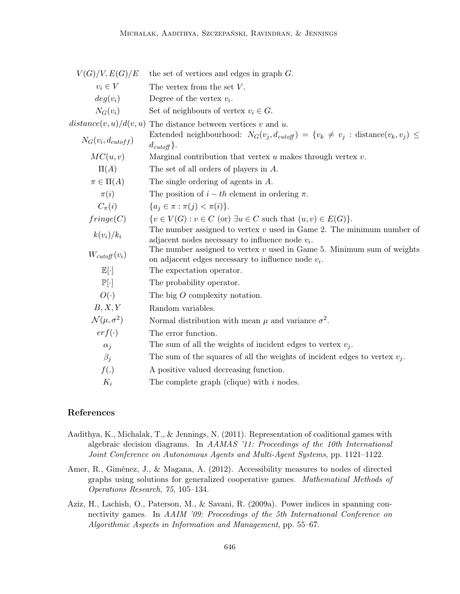| V(G)/V, E(G)/E               | the set of vertices and edges in graph $G$ .                                                                                      |
|------------------------------|-----------------------------------------------------------------------------------------------------------------------------------|
| $v_i \in V$                  | The vertex from the set $V$ .                                                                                                     |
| $deg(v_i)$                   | Degree of the vertex $v_i$ .                                                                                                      |
| $N_G(v_i)$                   | Set of neighbours of vertex $v_i \in G$ .                                                                                         |
| distance(v, u)/d(v, u)       | The distance between vertices $v$ and $u$ .                                                                                       |
| $N_G(v_i, d_{cutoff})$       | Extended neighbourhood: $N_G(v_j, d_{cutoff}) = \{v_k \neq v_j : \text{distance}(v_k, v_j) \leq$<br>$d_{cutoff}$ .                |
| MC(u, v)                     | Marginal contribution that vertex $u$ makes through vertex $v$ .                                                                  |
| $\Pi(A)$                     | The set of all orders of players in $A$ .                                                                                         |
| $\pi \in \Pi(A)$             | The single ordering of agents in A.                                                                                               |
| $\pi(i)$                     | The position of $i-th$ element in ordering $\pi$ .                                                                                |
| $C_{\pi}(i)$                 | ${a_i \in \pi : \pi(j) < \pi(i)}.$                                                                                                |
| fringe(C)                    | $\{v \in V(G) : v \in C$ (or) $\exists u \in C$ such that $(u, v) \in E(G)\}.$                                                    |
| $k(v_i)/k_i$                 | The number assigned to vertex $v$ used in Game 2. The minimum number of<br>adjacent nodes necessary to influence node $v_i$ .     |
| $W_{cutoff}(v_i)$            | The number assigned to vertex $v$ used in Game 5. Minimum sum of weights<br>on adjacent edges necessary to influence node $v_i$ . |
| $\mathbb{E}[\cdot]$          | The expectation operator.                                                                                                         |
| $\mathbb{P}[\cdot]$          | The probability operator.                                                                                                         |
| $O(\cdot)$                   | The big $O$ complexity notation.                                                                                                  |
| B, X, Y                      | Random variables.                                                                                                                 |
| $\mathcal{N}(\mu, \sigma^2)$ | Normal distribution with mean $\mu$ and variance $\sigma^2$ .                                                                     |
| $erf(\cdot)$                 | The error function.                                                                                                               |
| $\alpha_i$                   | The sum of all the weights of incident edges to vertex $v_i$ .                                                                    |
| $\beta_i$                    | The sum of the squares of all the weights of incident edges to vertex $v_i$ .                                                     |
| f(.)                         | A positive valued decreasing function.                                                                                            |
| $K_i$                        | The complete graph (clique) with $i$ nodes.                                                                                       |

## References

- Aadithya, K., Michalak, T., & Jennings, N. (2011). Representation of coalitional games with algebraic decision diagrams. In AAMAS '11: Proceedings of the 10th International Joint Conference on Autonomous Agents and Multi-Agent Systems, pp. 1121–1122.
- Amer, R., Giménez, J., & Magana, A. (2012). Accessibility measures to nodes of directed graphs using solutions for generalized cooperative games. Mathematical Methods of Operations Research, 75, 105–134.
- Aziz, H., Lachish, O., Paterson, M., & Savani, R. (2009a). Power indices in spanning connectivity games. In AAIM '09: Proceedings of the 5th International Conference on Algorithmic Aspects in Information and Management, pp. 55–67.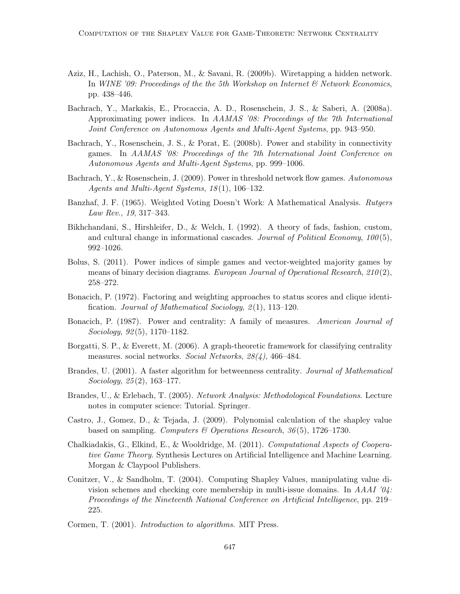- Aziz, H., Lachish, O., Paterson, M., & Savani, R. (2009b). Wiretapping a hidden network. In WINE '09: Proceedings of the the 5th Workshop on Internet  $\mathscr B$  Network Economics, pp. 438–446.
- Bachrach, Y., Markakis, E., Procaccia, A. D., Rosenschein, J. S., & Saberi, A. (2008a). Approximating power indices. In AAMAS '08: Proceedings of the 7th International Joint Conference on Autonomous Agents and Multi-Agent Systems, pp. 943–950.
- Bachrach, Y., Rosenschein, J. S., & Porat, E. (2008b). Power and stability in connectivity games. In AAMAS '08: Proceedings of the 7th International Joint Conference on Autonomous Agents and Multi-Agent Systems, pp. 999–1006.
- Bachrach, Y., & Rosenschein, J. (2009). Power in threshold network flow games. Autonomous Agents and Multi-Agent Systems, 18 (1), 106–132.
- Banzhaf, J. F. (1965). Weighted Voting Doesn't Work: A Mathematical Analysis. Rutgers Law Rev., 19, 317–343.
- Bikhchandani, S., Hirshleifer, D., & Welch, I. (1992). A theory of fads, fashion, custom, and cultural change in informational cascades. Journal of Political Economy,  $100(5)$ , 992–1026.
- Bolus, S. (2011). Power indices of simple games and vector-weighted majority games by means of binary decision diagrams. European Journal of Operational Research,  $210(2)$ , 258–272.
- Bonacich, P. (1972). Factoring and weighting approaches to status scores and clique identification. Journal of Mathematical Sociology, 2 (1), 113–120.
- Bonacich, P. (1987). Power and centrality: A family of measures. American Journal of Sociology, 92 (5), 1170–1182.
- Borgatti, S. P., & Everett, M. (2006). A graph-theoretic framework for classifying centrality measures. social networks. Social Networks, 28(4), 466–484.
- Brandes, U. (2001). A faster algorithm for betweenness centrality. Journal of Mathematical Sociology, 25 (2), 163–177.
- Brandes, U., & Erlebach, T. (2005). Network Analysis: Methodological Foundations. Lecture notes in computer science: Tutorial. Springer.
- Castro, J., Gomez, D., & Tejada, J. (2009). Polynomial calculation of the shapley value based on sampling. Computers & Operations Research, 36(5), 1726–1730.
- Chalkiadakis, G., Elkind, E., & Wooldridge, M. (2011). Computational Aspects of Cooperative Game Theory. Synthesis Lectures on Artificial Intelligence and Machine Learning. Morgan & Claypool Publishers.
- Conitzer, V., & Sandholm, T. (2004). Computing Shapley Values, manipulating value division schemes and checking core membership in multi-issue domains. In AAAI '04: Proceedings of the Nineteenth National Conference on Artificial Intelligence, pp. 219– 225.
- Cormen, T. (2001). Introduction to algorithms. MIT Press.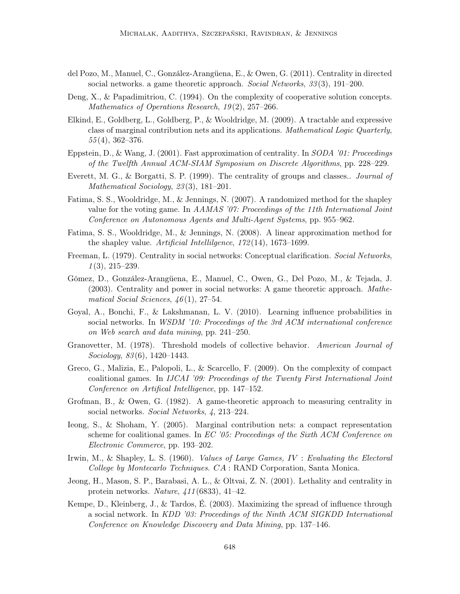- del Pozo, M., Manuel, C., González-Arangüena, E., & Owen, G. (2011). Centrality in directed social networks. a game theoretic approach. Social Networks, 33(3), 191–200.
- Deng, X., & Papadimitriou, C. (1994). On the complexity of cooperative solution concepts. Mathematics of Operations Research,  $19(2)$ ,  $257-266$ .
- Elkind, E., Goldberg, L., Goldberg, P., & Wooldridge, M. (2009). A tractable and expressive class of marginal contribution nets and its applications. Mathematical Logic Quarterly,  $55(4)$ , 362–376.
- Eppstein, D., & Wang, J. (2001). Fast approximation of centrality. In SODA '01: Proceedings of the Twelfth Annual ACM-SIAM Symposium on Discrete Algorithms, pp. 228–229.
- Everett, M. G., & Borgatti, S. P. (1999). The centrality of groups and classes.. Journal of Mathematical Sociology, 23 (3), 181–201.
- Fatima, S. S., Wooldridge, M., & Jennings, N. (2007). A randomized method for the shapley value for the voting game. In AAMAS '07: Proceedings of the 11th International Joint Conference on Autonomous Agents and Multi-Agent Systems, pp. 955–962.
- Fatima, S. S., Wooldridge, M., & Jennings, N. (2008). A linear approximation method for the shapley value. Artificial Intellilgence, 172 (14), 1673–1699.
- Freeman, L. (1979). Centrality in social networks: Conceptual clarification. Social Networks,  $1(3), 215-239.$
- Gómez, D., González-Arangüena, E., Manuel, C., Owen, G., Del Pozo, M., & Tejada, J. (2003). Centrality and power in social networks: A game theoretic approach. Mathematical Social Sciences,  $46(1)$ , 27–54.
- Goyal, A., Bonchi, F., & Lakshmanan, L. V. (2010). Learning influence probabilities in social networks. In WSDM '10: Proceedings of the 3rd ACM international conference on Web search and data mining, pp. 241–250.
- Granovetter, M. (1978). Threshold models of collective behavior. American Journal of Sociology, 83 (6), 1420–1443.
- Greco, G., Malizia, E., Palopoli, L., & Scarcello, F. (2009). On the complexity of compact coalitional games. In IJCAI '09: Proceedings of the Twenty First International Joint Conference on Artifical Intelligence, pp. 147–152.
- Grofman, B., & Owen, G. (1982). A game-theoretic approach to measuring centrality in social networks. Social Networks, 4, 213–224.
- Ieong, S., & Shoham, Y. (2005). Marginal contribution nets: a compact representation scheme for coalitional games. In EC '05: Proceedings of the Sixth ACM Conference on Electronic Commerce, pp. 193–202.
- Irwin, M., & Shapley, L. S. (1960). *Values of Large Games, IV : Evaluating the Electoral* College by Montecarlo Techniques. CA : RAND Corporation, Santa Monica.
- Jeong, H., Mason, S. P., Barabasi, A. L., & Oltvai, Z. N. (2001). Lethality and centrality in protein networks. Nature, 411 (6833), 41–42.
- Kempe, D., Kleinberg, J., & Tardos, É. (2003). Maximizing the spread of influence through a social network. In KDD '03: Proceedings of the Ninth ACM SIGKDD International Conference on Knowledge Discovery and Data Mining, pp. 137–146.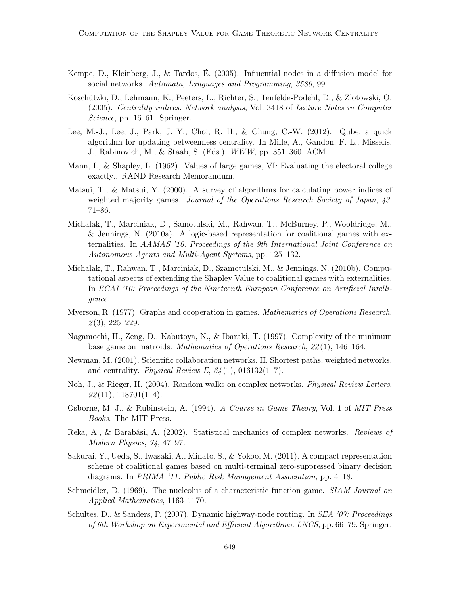- Kempe, D., Kleinberg, J., & Tardos, É. (2005). Influential nodes in a diffusion model for social networks. Automata, Languages and Programming, 3580, 99.
- Koschützki, D., Lehmann, K., Peeters, L., Richter, S., Tenfelde-Podehl, D., & Zlotowski, O. (2005). Centrality indices. Network analysis, Vol. 3418 of Lecture Notes in Computer Science, pp. 16–61. Springer.
- Lee, M.-J., Lee, J., Park, J. Y., Choi, R. H., & Chung, C.-W. (2012). Qube: a quick algorithm for updating betweenness centrality. In Mille, A., Gandon, F. L., Misselis, J., Rabinovich, M., & Staab, S. (Eds.), WWW, pp. 351–360. ACM.
- Mann, I., & Shapley, L. (1962). Values of large games, VI: Evaluating the electoral college exactly.. RAND Research Memorandum.
- Matsui, T., & Matsui, Y. (2000). A survey of algorithms for calculating power indices of weighted majority games. Journal of the Operations Research Society of Japan, 43, 71–86.
- Michalak, T., Marciniak, D., Samotulski, M., Rahwan, T., McBurney, P., Wooldridge, M., & Jennings, N. (2010a). A logic-based representation for coalitional games with externalities. In AAMAS '10: Proceedings of the 9th International Joint Conference on Autonomous Agents and Multi-Agent Systems, pp. 125–132.
- Michalak, T., Rahwan, T., Marciniak, D., Szamotulski, M., & Jennings, N. (2010b). Computational aspects of extending the Shapley Value to coalitional games with externalities. In ECAI '10: Proceedings of the Nineteenth European Conference on Artificial Intelligence.
- Myerson, R. (1977). Graphs and cooperation in games. Mathematics of Operations Research,  $\mathcal{Q}(3)$ , 225–229.
- Nagamochi, H., Zeng, D., Kabutoya, N., & Ibaraki, T. (1997). Complexity of the minimum base game on matroids. Mathematics of Operations Research, 22 (1), 146–164.
- Newman, M. (2001). Scientific collaboration networks. II. Shortest paths, weighted networks, and centrality. Physical Review E,  $64(1)$ , 016132(1-7).
- Noh, J., & Rieger, H. (2004). Random walks on complex networks. Physical Review Letters,  $92(11), 118701(1-4).$
- Osborne, M. J., & Rubinstein, A. (1994). A Course in Game Theory, Vol. 1 of MIT Press Books. The MIT Press.
- Reka, A., & Barabási, A. (2002). Statistical mechanics of complex networks. Reviews of Modern Physics, 74, 47–97.
- Sakurai, Y., Ueda, S., Iwasaki, A., Minato, S., & Yokoo, M. (2011). A compact representation scheme of coalitional games based on multi-terminal zero-suppressed binary decision diagrams. In PRIMA '11: Public Risk Management Association, pp. 4–18.
- Schmeidler, D. (1969). The nucleolus of a characteristic function game. *SIAM Journal on* Applied Mathematics, 1163–1170.
- Schultes, D., & Sanders, P. (2007). Dynamic highway-node routing. In *SEA '07: Proceedings* of 6th Workshop on Experimental and Efficient Algorithms. LNCS, pp. 66–79. Springer.